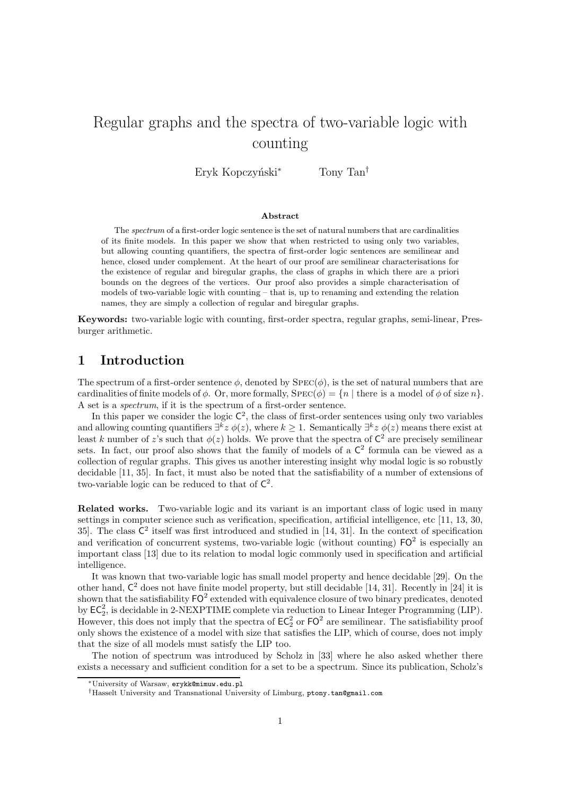# Regular graphs and the spectra of two-variable logic with counting

Eryk Kopczyński<sup>∗</sup> Tony Tan<sup>†</sup>

#### Abstract

The spectrum of a first-order logic sentence is the set of natural numbers that are cardinalities of its finite models. In this paper we show that when restricted to using only two variables, but allowing counting quantifiers, the spectra of first-order logic sentences are semilinear and hence, closed under complement. At the heart of our proof are semilinear characterisations for the existence of regular and biregular graphs, the class of graphs in which there are a priori bounds on the degrees of the vertices. Our proof also provides a simple characterisation of models of two-variable logic with counting – that is, up to renaming and extending the relation names, they are simply a collection of regular and biregular graphs.

Keywords: two-variable logic with counting, first-order spectra, regular graphs, semi-linear, Presburger arithmetic.

### 1 Introduction

The spectrum of a first-order sentence  $\phi$ , denoted by  $SPEC(\phi)$ , is the set of natural numbers that are cardinalities of finite models of  $\phi$ . Or, more formally,  $SPEC(\phi) = \{n \mid \text{there is a model of } \phi \text{ of size } n\}.$ A set is a *spectrum*, if it is the spectrum of a first-order sentence.

In this paper we consider the logic  $\mathsf{C}^2$ , the class of first-order sentences using only two variables and allowing counting quantifiers  $\exists^k z \phi(z)$ , where  $k \geq 1$ . Semantically  $\exists^k z \phi(z)$  means there exist at least k number of z's such that  $\phi(z)$  holds. We prove that the spectra of  $\mathsf{C}^2$  are precisely semilinear sets. In fact, our proof also shows that the family of models of a  $\mathsf{C}^2$  formula can be viewed as a collection of regular graphs. This gives us another interesting insight why modal logic is so robustly decidable [11, 35]. In fact, it must also be noted that the satisfiability of a number of extensions of two-variable logic can be reduced to that of  $\mathsf{C}^2$ .

Related works. Two-variable logic and its variant is an important class of logic used in many settings in computer science such as verification, specification, artificial intelligence, etc [11, 13, 30, 35. The class  $\mathsf{C}^2$  itself was first introduced and studied in [14, 31]. In the context of specification and verification of concurrent systems, two-variable logic (without counting)  $FO^2$  is especially an important class [13] due to its relation to modal logic commonly used in specification and artificial intelligence.

It was known that two-variable logic has small model property and hence decidable [29]. On the other hand,  $C^2$  does not have finite model property, but still decidable [14, 31]. Recently in [24] it is shown that the satisfiability  $\textsf{FO}^2$  extended with equivalence closure of two binary predicates, denoted by  $EC_2^2$ , is decidable in 2-NEXPTIME complete via reduction to Linear Integer Programming (LIP). However, this does not imply that the spectra of  $EC_2^2$  or  $FO^2$  are semilinear. The satisfiability proof only shows the existence of a model with size that satisfies the LIP, which of course, does not imply that the size of all models must satisfy the LIP too.

The notion of spectrum was introduced by Scholz in [33] where he also asked whether there exists a necessary and sufficient condition for a set to be a spectrum. Since its publication, Scholz's

<sup>∗</sup>University of Warsaw, erykk@mimuw.edu.pl

<sup>†</sup>Hasselt University and Transnational University of Limburg, ptony.tan@gmail.com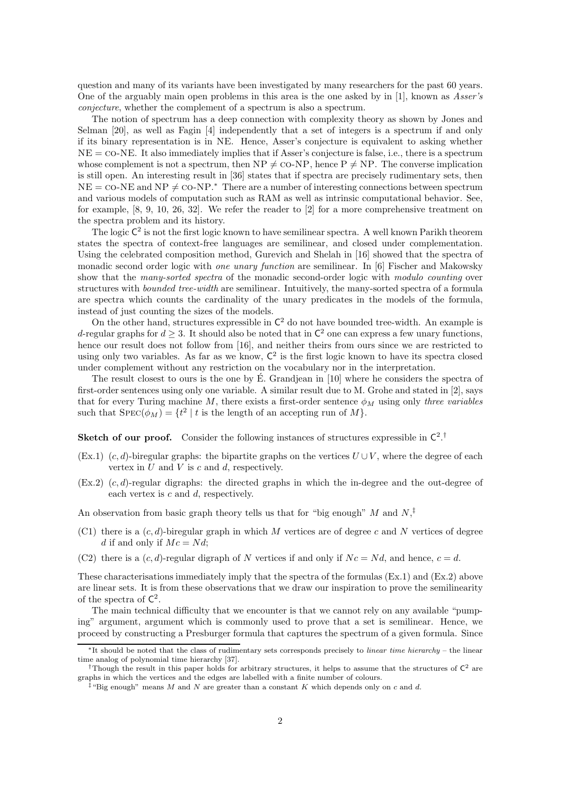question and many of its variants have been investigated by many researchers for the past 60 years. One of the arguably main open problems in this area is the one asked by in [1], known as *Asser's conjecture*, whether the complement of a spectrum is also a spectrum.

The notion of spectrum has a deep connection with complexity theory as shown by Jones and Selman [20], as well as Fagin [4] independently that a set of integers is a spectrum if and only if its binary representation is in NE. Hence, Asser's conjecture is equivalent to asking whether  $NE = \text{co-NE}$ . It also immediately implies that if Asser's conjecture is false, i.e., there is a spectrum whose complement is not a spectrum, then  $NP \neq CO-NP$ , hence  $P \neq NP$ . The converse implication is still open. An interesting result in [36] states that if spectra are precisely rudimentary sets, then  $NE = \text{co-NE}$  and  $NP \neq \text{co-NP.*}$  There are a number of interesting connections between spectrum and various models of computation such as RAM as well as intrinsic computational behavior. See, for example, [8, 9, 10, 26, 32]. We refer the reader to [2] for a more comprehensive treatment on the spectra problem and its history.

The logic  $C^2$  is not the first logic known to have semilinear spectra. A well known Parikh theorem states the spectra of context-free languages are semilinear, and closed under complementation. Using the celebrated composition method, Gurevich and Shelah in [16] showed that the spectra of monadic second order logic with *one unary function* are semilinear. In [6] Fischer and Makowsky show that the *many-sorted spectra* of the monadic second-order logic with *modulo counting* over structures with *bounded tree-width* are semilinear. Intuitively, the many-sorted spectra of a formula are spectra which counts the cardinality of the unary predicates in the models of the formula, instead of just counting the sizes of the models.

On the other hand, structures expressible in  $\mathsf{C}^2$  do not have bounded tree-width. An example is d-regular graphs for  $d \geq 3$ . It should also be noted that in  $\mathsf{C}^2$  one can express a few unary functions, hence our result does not follow from [16], and neither theirs from ours since we are restricted to using only two variables. As far as we know,  $C^2$  is the first logic known to have its spectra closed under complement without any restriction on the vocabulary nor in the interpretation.

The result closest to ours is the one by E. Grandjean in [10] where he considers the spectra of first-order sentences using only one variable. A similar result due to M. Grohe and stated in [2], says that for every Turing machine  $M$ , there exists a first-order sentence  $\phi_M$  using only *three variables* such that  $SPEC(\phi_M) = \{t^2 \mid t \text{ is the length of an accepting run of } M\}.$ 

**Sketch of our proof.** Consider the following instances of structures expressible in  $\mathsf{C}^2$ .<sup>†</sup>

- (Ex.1)  $(c, d)$ -biregular graphs: the bipartite graphs on the vertices  $U \cup V$ , where the degree of each vertex in  $U$  and  $V$  is  $c$  and  $d$ , respectively.
- $(Ex.2)$   $(c,d)$ -regular digraphs: the directed graphs in which the in-degree and the out-degree of each vertex is c and d, respectively.

An observation from basic graph theory tells us that for "big enough" M and  $N,^{\ddagger}$ 

- (C1) there is a  $(c, d)$ -biregular graph in which M vertices are of degree c and N vertices of degree d if and only if  $Mc = Nd$ ;
- (C2) there is a  $(c, d)$ -regular digraph of N vertices if and only if  $Nc = Nd$ , and hence,  $c = d$ .

These characterisations immediately imply that the spectra of the formulas (Ex.1) and (Ex.2) above are linear sets. It is from these observations that we draw our inspiration to prove the semilinearity of the spectra of  $\mathsf{C}^2$ .

The main technical difficulty that we encounter is that we cannot rely on any available "pumping" argument, argument which is commonly used to prove that a set is semilinear. Hence, we proceed by constructing a Presburger formula that captures the spectrum of a given formula. Since

<sup>∗</sup> It should be noted that the class of rudimentary sets corresponds precisely to linear time hierarchy – the linear time analog of polynomial time hierarchy [37].

<sup>&</sup>lt;sup>†</sup>Though the result in this paper holds for arbitrary structures, it helps to assume that the structures of  $\mathsf{C}^2$  are graphs in which the vertices and the edges are labelled with a finite number of colours.

<sup>&</sup>lt;sup>‡</sup>"Big enough" means M and N are greater than a constant K which depends only on c and d.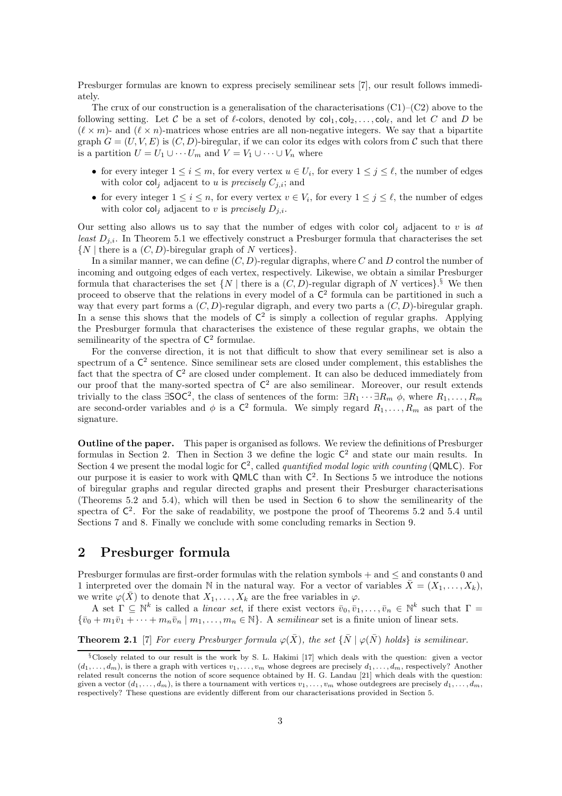Presburger formulas are known to express precisely semilinear sets [7], our result follows immediately.

The crux of our construction is a generalisation of the characterisations  $(C1)$ – $(C2)$  above to the following setting. Let C be a set of  $\ell$ -colors, denoted by  $col_1, col_2, \ldots, col_\ell$ , and let C and D be  $(\ell \times m)$ - and  $(\ell \times n)$ -matrices whose entries are all non-negative integers. We say that a bipartite graph  $G = (U, V, E)$  is  $(C, D)$ -biregular, if we can color its edges with colors from C such that there is a partition  $U = U_1 \cup \cdots \cup U_m$  and  $V = V_1 \cup \cdots \cup V_n$  where

- for every integer  $1 \le i \le m$ , for every vertex  $u \in U_i$ , for every  $1 \le j \le \ell$ , the number of edges with color  $col_i$  adjacent to u is *precisely*  $C_{i,i}$ ; and
- for every integer  $1 \leq i \leq n$ , for every vertex  $v \in V_i$ , for every  $1 \leq j \leq \ell$ , the number of edges with color  $col_i$  adjacent to v is *precisely*  $D_{j,i}$ .

Our setting also allows us to say that the number of edges with color  $col_i$  adjacent to v is at *least*  $D_{i,i}$ . In Theorem 5.1 we effectively construct a Presburger formula that characterises the set  $\{N \mid \text{there is a } (C, D)$ -biregular graph of N vertices.

In a similar manner, we can define  $(C, D)$ -regular digraphs, where C and D control the number of incoming and outgoing edges of each vertex, respectively. Likewise, we obtain a similar Presburger formula that characterises the set  $\{N \mid \text{there is a } (C, D) \text{-regular digraph of } N \text{ vertices}\}$ .<sup>§</sup> We then proceed to observe that the relations in every model of a  $\mathsf{C}^2$  formula can be partitioned in such a way that every part forms a  $(C, D)$ -regular digraph, and every two parts a  $(C, D)$ -biregular graph. In a sense this shows that the models of  $\mathsf{C}^2$  is simply a collection of regular graphs. Applying the Presburger formula that characterises the existence of these regular graphs, we obtain the semilinearity of the spectra of  $\mathsf{C}^2$  formulae.

For the converse direction, it is not that difficult to show that every semilinear set is also a spectrum of a  $\mathsf{C}^2$  sentence. Since semilinear sets are closed under complement, this establishes the fact that the spectra of  $\mathsf{C}^2$  are closed under complement. It can also be deduced immediately from our proof that the many-sorted spectra of  $\mathsf{C}^2$  are also semilinear. Moreover, our result extends trivially to the class  $\exists$ SOC<sup>2</sup>, the class of sentences of the form:  $\exists R_1 \cdots \exists R_m \phi$ , where  $R_1, \ldots, R_m$ are second-order variables and  $\phi$  is a  $\mathsf{C}^2$  formula. We simply regard  $R_1,\ldots,R_m$  as part of the signature.

Outline of the paper. This paper is organised as follows. We review the definitions of Presburger formulas in Section 2. Then in Section 3 we define the logic  $C^2$  and state our main results. In Section 4 we present the modal logic for  $C^2$ , called *quantified modal logic with counting* (QMLC). For our purpose it is easier to work with QMLC than with  $C^2$ . In Sections 5 we introduce the notions of biregular graphs and regular directed graphs and present their Presburger characterisations (Theorems 5.2 and 5.4), which will then be used in Section 6 to show the semilinearity of the spectra of  $\mathsf{C}^2$ . For the sake of readability, we postpone the proof of Theorems 5.2 and 5.4 until Sections 7 and 8. Finally we conclude with some concluding remarks in Section 9.

### 2 Presburger formula

Presburger formulas are first-order formulas with the relation symbols + and ≤ and constants 0 and 1 interpreted over the domain N in the natural way. For a vector of variables  $\bar{X} = (X_1, \ldots, X_k)$ , we write  $\varphi(\bar{X})$  to denote that  $X_1, \ldots, X_k$  are the free variables in  $\varphi$ .

A set  $\Gamma \subseteq \mathbb{N}^k$  is called a *linear set*, if there exist vectors  $\bar{v}_0, \bar{v}_1, \ldots, \bar{v}_n \in \mathbb{N}^k$  such that  $\Gamma =$  ${\{\bar{v}_0 + m_1\bar{v}_1 + \cdots + m_n\bar{v}_n \mid m_1,\ldots,m_n \in \mathbb{N}\}}$ . A *semilinear* set is a finite union of linear sets.

**Theorem 2.1** [7] *For every Presburger formula*  $\varphi(\bar{X})$ *, the set*  $\{\bar{N} \mid \varphi(\bar{N})$  *holds*} *is semilinear.* 

<sup>§</sup>Closely related to our result is the work by S. L. Hakimi [17] which deals with the question: given a vector  $(d_1, \ldots, d_m)$ , is there a graph with vertices  $v_1, \ldots, v_m$  whose degrees are precisely  $d_1, \ldots, d_m$ , respectively? Another related result concerns the notion of score sequence obtained by H. G. Landau [21] which deals with the question: given a vector  $(d_1, \ldots, d_m)$ , is there a tournament with vertices  $v_1, \ldots, v_m$  whose outdegrees are precisely  $d_1, \ldots, d_m$ , respectively? These questions are evidently different from our characterisations provided in Section 5.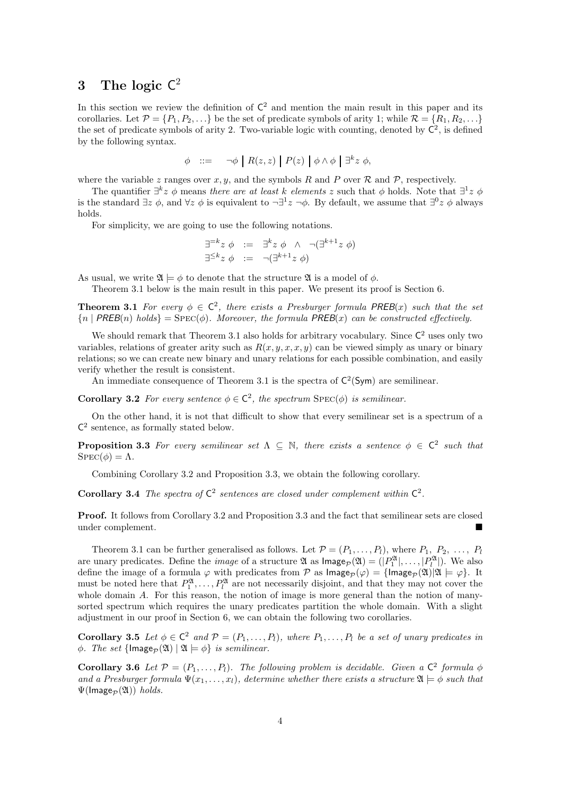## $3$  The logic  $C^2$

In this section we review the definition of  $\mathsf{C}^2$  and mention the main result in this paper and its corollaries. Let  $\mathcal{P} = \{P_1, P_2, \ldots\}$  be the set of predicate symbols of arity 1; while  $\mathcal{R} = \{R_1, R_2, \ldots\}$ the set of predicate symbols of arity 2. Two-variable logic with counting, denoted by  $\mathsf{C}^2$ , is defined by the following syntax.

$$
\phi \quad ::= \quad \neg \phi \mid R(z, z) \mid P(z) \mid \phi \wedge \phi \mid \exists^k z \phi,
$$

where the variable z ranges over  $x, y$ , and the symbols R and P over R and P, respectively.

The quantifier  $\exists^k z \phi$  means *there are at least* k *elements* z such that  $\phi$  holds. Note that  $\exists^1 z \phi$ is the standard  $\exists z \phi$ , and  $\forall z \phi$  is equivalent to  $\neg \exists^1 z \neg \phi$ . By default, we assume that  $\exists^0 z \phi$  always holds.

For simplicity, we are going to use the following notations.

$$
\exists^{=k} z \phi := \exists^k z \phi \land \neg(\exists^{k+1} z \phi)
$$
  

$$
\exists^{\leq k} z \phi := \neg(\exists^{k+1} z \phi)
$$

As usual, we write  $\mathfrak{A} \models \phi$  to denote that the structure  $\mathfrak{A}$  is a model of  $\phi$ .

Theorem 3.1 below is the main result in this paper. We present its proof is Section 6.

**Theorem 3.1** For every  $\phi \in C^2$ , there exists a Presburger formula PREB(x) such that the set  ${n \mid PREB(n) \text{ holds}} = \text{Spec}(\phi)$ *. Moreover, the formula*  $PREB(x)$  *can be constructed effectively.* 

We should remark that Theorem 3.1 also holds for arbitrary vocabulary. Since  $C^2$  uses only two variables, relations of greater arity such as  $R(x, y, x, x, y)$  can be viewed simply as unary or binary relations; so we can create new binary and unary relations for each possible combination, and easily verify whether the result is consistent.

An immediate consequence of Theorem 3.1 is the spectra of  $C^2(Sym)$  are semilinear.

**Corollary 3.2** For every sentence  $\phi \in \mathbb{C}^2$ , the spectrum  $\text{Spec}(\phi)$  is semilinear.

On the other hand, it is not that difficult to show that every semilinear set is a spectrum of a  $\mathsf{C}^2$  sentence, as formally stated below.

**Proposition 3.3** For every semilinear set  $\Lambda \subseteq \mathbb{N}$ , there exists a sentence  $\phi \in \mathbb{C}^2$  such that  $SPEC(\phi) = \Lambda$ .

Combining Corollary 3.2 and Proposition 3.3, we obtain the following corollary.

**Corollary 3.4** The spectra of  $C^2$  sentences are closed under complement within  $C^2$ .

Proof. It follows from Corollary 3.2 and Proposition 3.3 and the fact that semilinear sets are closed under complement.

Theorem 3.1 can be further generalised as follows. Let  $\mathcal{P} = (P_1, \ldots, P_l)$ , where  $P_1, P_2, \ldots, P_l$ are unary predicates. Define the *image* of a structure  $\mathfrak{A}$  as  $\mathsf{Image}_{\mathcal{P}}(\mathfrak{A}) = (P_1^{\mathfrak{A}} |, \ldots, |P_l^{\mathfrak{A}}|)$ . We also define the image of a formula  $\varphi$  with predicates from P as  $\text{Image}_{\mathcal{P}}(\varphi) = {\text{Image}_{\mathcal{P}}(\mathfrak{A})|\mathfrak{A} \models \varphi}$ . It must be noted here that  $P_1^{\mathfrak{A}}, \ldots, P_l^{\mathfrak{A}}$  are not necessarily disjoint, and that they may not cover the whole domain A. For this reason, the notion of image is more general than the notion of manysorted spectrum which requires the unary predicates partition the whole domain. With a slight adjustment in our proof in Section 6, we can obtain the following two corollaries.

Corollary 3.5 Let  $\phi \in C^2$  and  $\mathcal{P} = (P_1, \ldots, P_l)$ , where  $P_1, \ldots, P_l$  be a set of unary predicates in  $\phi$ *. The set* { $\text{Image}_{\mathcal{P}}(\mathfrak{A}) | \mathfrak{A} \models \phi$ } *is semilinear.* 

**Corollary 3.6** Let  $\mathcal{P} = (P_1, \ldots, P_l)$ . The following problem is decidable. Given a  $\mathbb{C}^2$  formula  $\phi$ *and a Presburger formula*  $\Psi(x_1, \ldots, x_l)$ *, determine whether there exists a structure*  $\mathfrak{A} \models \phi$  *such that*  $\Psi(\text{Image}_{\mathcal{D}}(\mathfrak{A}))$  *holds.*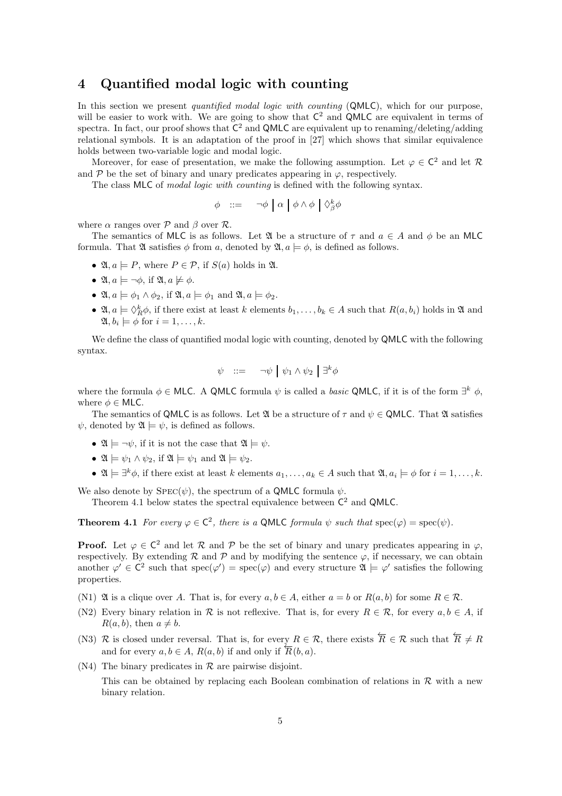### 4 Quantified modal logic with counting

In this section we present *quantified modal logic with counting* (QMLC), which for our purpose, will be easier to work with. We are going to show that  $C^2$  and QMLC are equivalent in terms of spectra. In fact, our proof shows that  $C^2$  and QMLC are equivalent up to renaming/deleting/adding relational symbols. It is an adaptation of the proof in [27] which shows that similar equivalence holds between two-variable logic and modal logic.

Moreover, for ease of presentation, we make the following assumption. Let  $\varphi \in C^2$  and let R and  $\mathcal P$  be the set of binary and unary predicates appearing in  $\varphi$ , respectively.

The class MLC of *modal logic with counting* is defined with the following syntax.

$$
\phi \quad ::= \quad \neg \phi \mid \alpha \mid \phi \land \phi \mid \Diamond_{\beta}^{k} \phi
$$

where  $\alpha$  ranges over  $\mathcal P$  and  $\beta$  over  $\mathcal R$ .

The semantics of MLC is as follows. Let  $\mathfrak A$  be a structure of  $\tau$  and  $a \in A$  and  $\phi$  be an MLC formula. That  $\mathfrak A$  satisfies  $\phi$  from a, denoted by  $\mathfrak A$ ,  $a \models \phi$ , is defined as follows.

- $\mathfrak{A}, a \models P$ , where  $P \in \mathcal{P}$ , if  $S(a)$  holds in  $\mathfrak{A}$ .
- $\mathfrak{A}, a \models \neg \phi$ , if  $\mathfrak{A}, a \not\models \phi$ .
- $\mathfrak{A}, a \models \phi_1 \land \phi_2$ , if  $\mathfrak{A}, a \models \phi_1$  and  $\mathfrak{A}, a \models \phi_2$ .
- $\mathfrak{A}, a \models \Diamond_R^k \phi$ , if there exist at least k elements  $b_1, \ldots, b_k \in A$  such that  $R(a, b_i)$  holds in  $\mathfrak A$  and  $\mathfrak{A}, b_i \models \phi$  for  $i = 1, \ldots, k$ .

We define the class of quantified modal logic with counting, denoted by **QMLC** with the following syntax.

$$
\psi \quad ::= \quad \neg \psi \mid \psi_1 \wedge \psi_2 \mid \exists^k \phi
$$

where the formula  $\phi \in \mathsf{MLC}$ . A QMLC formula  $\psi$  is called a *basic* QMLC, if it is of the form  $\exists^k \phi$ , where  $\phi \in \mathsf{MLC}$ .

The semantics of QMLC is as follows. Let  $\mathfrak A$  be a structure of  $\tau$  and  $\psi \in \mathsf{OMLC}$ . That  $\mathfrak A$  satisfies  $\psi$ , denoted by  $\mathfrak{A} \models \psi$ , is defined as follows.

- $\mathfrak{A} \models \neg \psi$ , if it is not the case that  $\mathfrak{A} \models \psi$ .
- $\mathfrak{A} \models \psi_1 \land \psi_2$ , if  $\mathfrak{A} \models \psi_1$  and  $\mathfrak{A} \models \psi_2$ .
- $\mathfrak{A} \models \exists^k \phi$ , if there exist at least k elements  $a_1, \ldots, a_k \in A$  such that  $\mathfrak{A}, a_i \models \phi$  for  $i = 1, \ldots, k$ .

We also denote by  $SPEC(\psi)$ , the spectrum of a QMLC formula  $\psi$ .

Theorem 4.1 below states the spectral equivalence between  $C^2$  and QMLC.

**Theorem 4.1** For every  $\varphi \in \mathbb{C}^2$ , there is a QMLC formula  $\psi$  such that  $\text{spec}(\varphi) = \text{spec}(\psi)$ .

**Proof.** Let  $\varphi \in C^2$  and let R and P be the set of binary and unary predicates appearing in  $\varphi$ , respectively. By extending  $\mathcal R$  and  $\mathcal P$  and by modifying the sentence  $\varphi$ , if necessary, we can obtain another  $\varphi' \in C^2$  such that  $spec(\varphi') = spec(\varphi)$  and every structure  $\mathfrak{A} \models \varphi'$  satisfies the following properties.

- (N1)  $\mathfrak A$  is a clique over A. That is, for every  $a, b \in A$ , either  $a = b$  or  $R(a, b)$  for some  $R \in \mathcal R$ .
- (N2) Every binary relation in R is not reflexive. That is, for every  $R \in \mathcal{R}$ , for every  $a, b \in A$ , if  $R(a, b)$ , then  $a \neq b$ .
- (N3) R is closed under reversal. That is, for every  $R \in \mathcal{R}$ , there exists  $\overleftarrow{R} \in \mathcal{R}$  such that  $\overleftarrow{R} \neq R$ and for every  $a, b \in A$ ,  $R(a, b)$  if and only if  $\overline{R}(b, a)$ .
- (N4) The binary predicates in  $\mathcal R$  are pairwise disjoint.

This can be obtained by replacing each Boolean combination of relations in  $\mathcal R$  with a new binary relation.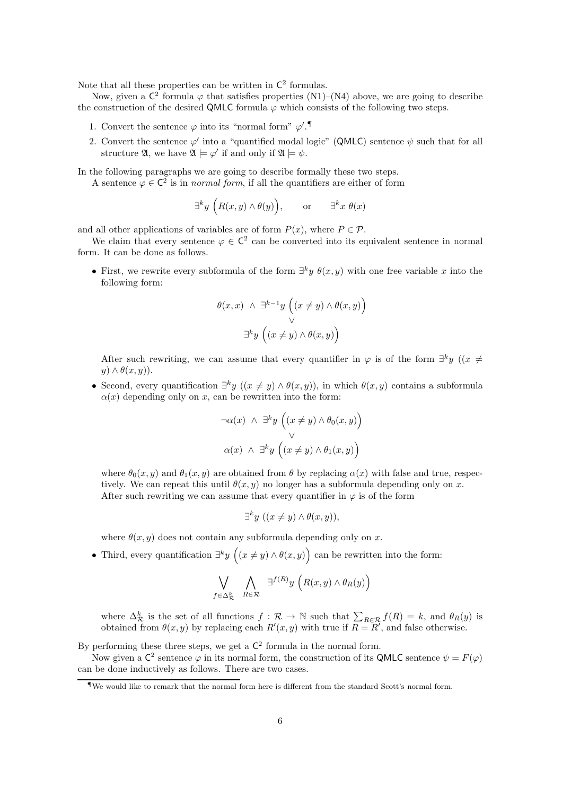Note that all these properties can be written in  $\mathsf{C}^2$  formulas.

Now, given a  $\mathsf{C}^2$  formula  $\varphi$  that satisfies properties (N1)–(N4) above, we are going to describe the construction of the desired QMLC formula  $\varphi$  which consists of the following two steps.

- 1. Convert the sentence  $\varphi$  into its "normal form"  $\varphi'$ .
- 2. Convert the sentence  $\varphi'$  into a "quantified modal logic" (QMLC) sentence  $\psi$  such that for all structure  $\mathfrak{A}$ , we have  $\mathfrak{A} \models \varphi'$  if and only if  $\mathfrak{A} \models \psi$ .

In the following paragraphs we are going to describe formally these two steps.

A sentence  $\varphi \in \mathbb{C}^2$  is in *normal form*, if all the quantifiers are either of form

$$
\exists^k y \big(R(x,y) \wedge \theta(y)\big), \qquad \text{or} \qquad \exists^k x \ \theta(x)
$$

and all other applications of variables are of form  $P(x)$ , where  $P \in \mathcal{P}$ .

We claim that every sentence  $\varphi \in C^2$  can be converted into its equivalent sentence in normal form. It can be done as follows.

• First, we rewrite every subformula of the form  $\exists^k y \theta(x, y)$  with one free variable x into the following form:

$$
\theta(x, x) \land \exists^{k-1} y \left( (x \neq y) \land \theta(x, y) \right) \n\quad \forall \n\exists^k y \left( (x \neq y) \land \theta(x, y) \right)
$$

After such rewriting, we can assume that every quantifier in  $\varphi$  is of the form  $\exists^k y \ (x \neq 0)$  $y) \wedge \theta(x, y)$ .

• Second, every quantification  $\exists^k y \ ((x \neq y) \land \theta(x, y))$ , in which  $\theta(x, y)$  contains a subformula  $\alpha(x)$  depending only on x, can be rewritten into the form:

$$
\neg \alpha(x) \land \exists^k y \left( (x \neq y) \land \theta_0(x, y) \right) \n\lor \n\alpha(x) \land \exists^k y \left( (x \neq y) \land \theta_1(x, y) \right)
$$

where  $\theta_0(x, y)$  and  $\theta_1(x, y)$  are obtained from  $\theta$  by replacing  $\alpha(x)$  with false and true, respectively. We can repeat this until  $\theta(x, y)$  no longer has a subformula depending only on x. After such rewriting we can assume that every quantifier in  $\varphi$  is of the form

$$
\exists^k y \ ((x \neq y) \land \theta(x, y)),
$$

where  $\theta(x, y)$  does not contain any subformula depending only on x.

• Third, every quantification  $\exists^k y \ (x \neq y) \land \theta(x, y)$  can be rewritten into the form:

$$
\bigvee_{f \in \Delta_R^k} \bigwedge_{R \in \mathcal{R}} \exists^{f(R)} y \left( R(x, y) \land \theta_R(y) \right)
$$

where  $\Delta_{\mathcal{R}}^k$  is the set of all functions  $f: \mathcal{R} \to \mathbb{N}$  such that  $\sum_{R \in \mathcal{R}} f(R) = k$ , and  $\theta_R(y)$  is obtained from  $\theta(x, y)$  by replacing each  $R'(x, y)$  with true if  $R = R'$ , and false otherwise.

By performing these three steps, we get a  $\mathsf{C}^2$  formula in the normal form.

Now given a  $\mathsf{C}^2$  sentence  $\varphi$  in its normal form, the construction of its QMLC sentence  $\psi = F(\varphi)$ can be done inductively as follows. There are two cases.

<sup>¶</sup>We would like to remark that the normal form here is different from the standard Scott's normal form.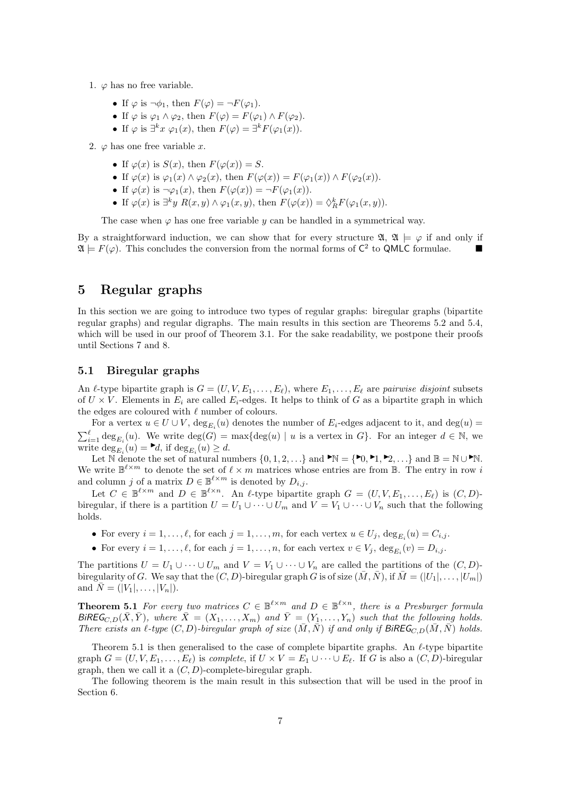- 1.  $\varphi$  has no free variable.
	- If  $\varphi$  is  $\neg \phi_1$ , then  $F(\varphi) = \neg F(\varphi_1)$ .
	- If  $\varphi$  is  $\varphi_1 \wedge \varphi_2$ , then  $F(\varphi) = F(\varphi_1) \wedge F(\varphi_2)$ .
	- If  $\varphi$  is  $\exists^k x \varphi_1(x)$ , then  $F(\varphi) = \exists^k F(\varphi_1(x))$ .
- 2.  $\varphi$  has one free variable x.
	- If  $\varphi(x)$  is  $S(x)$ , then  $F(\varphi(x)) = S$ .
	- If  $\varphi(x)$  is  $\varphi_1(x) \wedge \varphi_2(x)$ , then  $F(\varphi(x)) = F(\varphi_1(x)) \wedge F(\varphi_2(x))$ .
	- If  $\varphi(x)$  is  $\neg \varphi_1(x)$ , then  $F(\varphi(x)) = \neg F(\varphi_1(x))$ .
	- If  $\varphi(x)$  is  $\exists^k y \ R(x, y) \wedge \varphi_1(x, y)$ , then  $F(\varphi(x)) = \Diamond_R^k F(\varphi_1(x, y))$ .

The case when  $\varphi$  has one free variable y can be handled in a symmetrical way.

By a straightforward induction, we can show that for every structure  $\mathfrak{A}, \mathfrak{A} \models \varphi$  if and only if  $\mathfrak{A} \models F(\varphi)$ . This concludes the conversion from the normal forms of  $\mathsf{C}^2$  to QMLC formulae.

### 5 Regular graphs

In this section we are going to introduce two types of regular graphs: biregular graphs (bipartite regular graphs) and regular digraphs. The main results in this section are Theorems 5.2 and 5.4, which will be used in our proof of Theorem 3.1. For the sake readability, we postpone their proofs until Sections 7 and 8.

#### 5.1 Biregular graphs

An  $\ell$ -type bipartite graph is  $G = (U, V, E_1, \ldots, E_\ell)$ , where  $E_1, \ldots, E_\ell$  are *pairwise disjoint* subsets of  $U \times V$ . Elements in  $E_i$  are called  $E_i$ -edges. It helps to think of G as a bipartite graph in which the edges are coloured with  $\ell$  number of colours.

For a vertex  $u \in U \cup V$ ,  $deg_{E_i}(u)$  denotes the number of  $E_i$ -edges adjacent to it, and  $deg(u)$  $\sum_{i=1}^{\ell} \deg_{E_i}(u)$ . We write  $\deg(G) = \max{\deg(u) \mid u \text{ is a vertex in } G}$ . For an integer  $d \in \mathbb{N}$ , we write  $\deg_{E_i}(u) = \blacktriangleright d$ , if  $\deg_{E_i}(u) \geq d$ .

Let N denote the set of natural numbers  $\{0, 1, 2, ...\}$  and  $\blacktriangleright N = \{\blacktriangleright 0, \blacktriangleright 1, \blacktriangleright 2, ...\}$  and  $\mathbb{B} = \mathbb{N} \cup \blacktriangleright \mathbb{N}$ . We write  $\mathbb{B}^{\ell \times m}$  to denote the set of  $\ell \times m$  matrices whose entries are from  $\mathbb{B}$ . The entry in row i and column j of a matrix  $D \in \mathbb{B}^{\ell \times m}$  is denoted by  $D_{i,j}$ .

Let  $C \in \mathbb{B}^{\ell \times m}$  and  $D \in \mathbb{B}^{\ell \times n}$ . An  $\ell$ -type bipartite graph  $G = (U, V, E_1, \ldots, E_\ell)$  is  $(C, D)$ biregular, if there is a partition  $U = U_1 \cup \cdots \cup U_m$  and  $V = V_1 \cup \cdots \cup V_n$  such that the following holds.

- For every  $i = 1, ..., \ell$ , for each  $j = 1, ..., m$ , for each vertex  $u \in U_j$ ,  $\deg_{E_i}(u) = C_{i,j}$ .
- For every  $i = 1, ..., \ell$ , for each  $j = 1, ..., n$ , for each vertex  $v \in V_j$ ,  $\deg_{E_i}(v) = D_{i,j}$ .

The partitions  $U = U_1 \cup \cdots \cup U_m$  and  $V = V_1 \cup \cdots \cup V_n$  are called the partitions of the  $(C, D)$ biregularity of G. We say that the  $(C, D)$ -biregular graph G is of size  $(\bar{M}, \bar{N})$ , if  $\bar{M} = (|U_1|, \ldots, |U_m|)$ and  $\bar{N} = (|V_1|, \ldots, |V_n|).$ 

**Theorem 5.1** For every two matrices  $C \in \mathbb{B}^{\ell \times m}$  and  $D \in \mathbb{B}^{\ell \times n}$ , there is a Presburger formula  $BiREG_{C,D}(\bar{X}, \bar{Y})$ , where  $\bar{X} = (X_1, \ldots, X_m)$  and  $\bar{Y} = (Y_1, \ldots, Y_n)$  such that the following holds. *There exists an*  $\ell$ -type  $(C, D)$ -biregular graph of size  $(\overline{M}, \overline{N})$  if and only if  $\text{BiREG}_{C, D}(\overline{M}, \overline{N})$  holds.

Theorem 5.1 is then generalised to the case of complete bipartite graphs. An  $\ell$ -type bipartite graph  $G = (U, V, E_1, \ldots, E_\ell)$  is *complete*, if  $U \times V = E_1 \cup \cdots \cup E_\ell$ . If G is also a  $(C, D)$ -biregular graph, then we call it a  $(C, D)$ -complete-biregular graph.

The following theorem is the main result in this subsection that will be used in the proof in Section 6.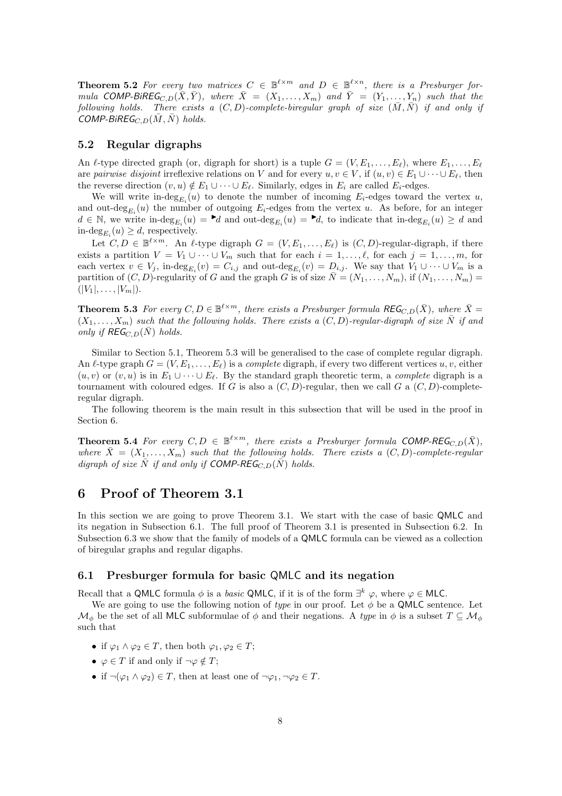**Theorem 5.2** For every two matrices  $C \in \mathbb{B}^{\ell \times m}$  and  $D \in \mathbb{B}^{\ell \times n}$ , there is a Presburger for*mula* COMP-BIREG<sub>C,D</sub> $(\bar{X}, \bar{Y})$ *, where*  $\bar{X} = (X_1, \ldots, X_m)$  and  $\bar{Y} = (Y_1, \ldots, Y_n)$  such that the *following holds.* There exists a  $(C, D)$ -complete-biregular graph of size  $(\overline{M}, \overline{N})$  *if and only if*  $COMP-BiREG<sub>C,D</sub>(\bar{M}, \bar{N})$  holds.

#### 5.2 Regular digraphs

An  $\ell$ -type directed graph (or, digraph for short) is a tuple  $G = (V, E_1, \ldots, E_\ell)$ , where  $E_1, \ldots, E_\ell$ are *pairwise disjoint* irreflexive relations on V and for every  $u, v \in V$ , if  $(u, v) \in E_1 \cup \cdots \cup E_\ell$ , then the reverse direction  $(v, u) \notin E_1 \cup \cdots \cup E_{\ell}$ . Similarly, edges in  $E_i$  are called  $E_i$ -edges.

We will write in- $\deg_{E_i}(u)$  to denote the number of incoming  $E_i$ -edges toward the vertex u, and out- $\deg_{E_i}(u)$  the number of outgoing  $E_i$ -edges from the vertex u. As before, for an integer  $d \in \mathbb{N}$ , we write in-deg<sub>E<sub>i</sub></sub> $(u) = \mathbf{d}$  and out-deg<sub>E<sub>i</sub></sub> $(u) = \mathbf{d}$ , to indicate that in-deg<sub>E<sub>i</sub></sub> $(u) \geq d$  and in- $\deg_{E_i}(u) \ge d$ , respectively.

Let  $C, D \in \mathbb{B}^{\ell \times m}$ . An  $\ell$ -type digraph  $G = (V, E_1, \ldots, E_{\ell})$  is  $(C, D)$ -regular-digraph, if there exists a partition  $V = V_1 \cup \cdots \cup V_m$  such that for each  $i = 1, \ldots, \ell$ , for each  $j = 1, \ldots, m$ , for each vertex  $v \in V_j$ , in-de $g_{E_i}(v) = C_{i,j}$  and out-de $g_{E_i}(v) = D_{i,j}$ . We say that  $V_1 \cup \cdots \cup V_m$  is a partition of  $(C, D)$ -regularity of G and the graph G is of size  $\overline{N} = (N_1, \ldots, N_m)$ , if  $(N_1, \ldots, N_m)$  $(|V_1|, \ldots, |V_m|).$ 

**Theorem 5.3** For every  $C, D \in \mathbb{B}^{\ell \times m}$ , there exists a Presburger formula REG<sub>C,D</sub>( $\bar{X}$ ), where  $\bar{X} =$  $(X_1, \ldots, X_m)$  *such that the following holds. There exists a*  $(C, D)$ *-regular-digraph of size*  $\overline{N}$  *if and only if*  $\mathsf{REG}_{C,D}(\bar{N})$  *holds.* 

Similar to Section 5.1, Theorem 5.3 will be generalised to the case of complete regular digraph. An  $\ell$ -type graph  $G = (V, E_1, \ldots, E_\ell)$  is a *complete* digraph, if every two different vertices  $u, v$ , either  $(u, v)$  or  $(v, u)$  is in  $E_1 \cup \cdots \cup E_{\ell}$ . By the standard graph theoretic term, a *complete* digraph is a tournament with coloured edges. If G is also a  $(C, D)$ -regular, then we call G a  $(C, D)$ -completeregular digraph.

The following theorem is the main result in this subsection that will be used in the proof in Section 6.

**Theorem 5.4** For every  $C, D \in \mathbb{B}^{\ell \times m}$ , there exists a Presburger formula COMP-REG<sub>C,D</sub>( $\bar{X}$ ), *where*  $\bar{X} = (X_1, \ldots, X_m)$  *such that the following holds. There exists a*  $(C, D)$ *-complete-regular digraph of size*  $\overline{N}$  *if and only if* COMP-REG<sub>C,D</sub>( $\overline{N}$ ) *holds.* 

### 6 Proof of Theorem 3.1

In this section we are going to prove Theorem 3.1. We start with the case of basic QMLC and its negation in Subsection 6.1. The full proof of Theorem 3.1 is presented in Subsection 6.2. In Subsection 6.3 we show that the family of models of a QMLC formula can be viewed as a collection of biregular graphs and regular digaphs.

#### 6.1 Presburger formula for basic QMLC and its negation

Recall that a QMLC formula  $\phi$  is a *basic* QMLC, if it is of the form  $\exists^k \varphi$ , where  $\varphi \in \mathsf{MLC}$ .

We are going to use the following notion of *type* in our proof. Let  $\phi$  be a QMLC sentence. Let  $\mathcal{M}_{\phi}$  be the set of all MLC subformulae of  $\phi$  and their negations. A *type* in  $\phi$  is a subset  $T \subseteq \mathcal{M}_{\phi}$ such that

- if  $\varphi_1 \wedge \varphi_2 \in T$ , then both  $\varphi_1, \varphi_2 \in T$ ;
- $\varphi \in T$  if and only if  $\neg \varphi \notin T$ ;
- if  $\neg(\varphi_1 \land \varphi_2) \in T$ , then at least one of  $\neg \varphi_1, \neg \varphi_2 \in T$ .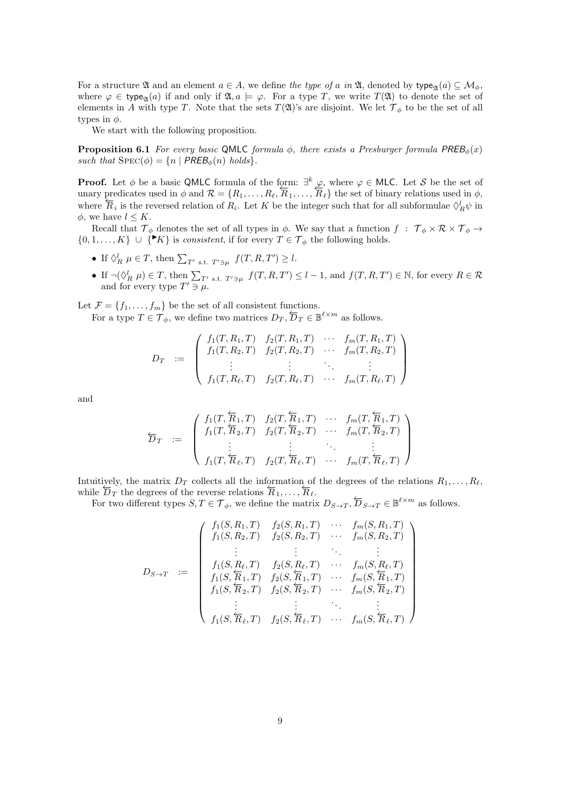For a structure  $\mathfrak A$  and an element  $a \in A$ , we define the type of a in  $\mathfrak A$ , denoted by type<sub> $\mathfrak A$ </sub> $(a) \subseteq \mathcal M_\phi$ , where  $\varphi \in \mathsf{type}_{\mathfrak{A}}(a)$  if and only if  $\mathfrak{A}, a \models \varphi$ . For a type T, we write  $T(\mathfrak{A})$  to denote the set of elements in A with type T. Note that the sets  $T(\mathfrak{A})$ 's are disjoint. We let  $\mathcal{T}_{\phi}$  to be the set of all types in  $\phi$ .

We start with the following proposition.

**Proposition 6.1** *For every basic* QMLC *formula*  $\phi$ *, there exists a Presburger formula*  $PREE_{\phi}(x)$ *such that*  $SPEC(\phi) = \{n \mid PREB_{\phi}(n) \ holds\}.$ 

**Proof.** Let  $\phi$  be a basic QMLC formula of the form:  $\exists^{k} \varphi$ , where  $\varphi \in \mathsf{MLC}$ . Let S be the set of unary predicates used in  $\phi$  and  $\mathcal{R} = \{R_1, \ldots, R_\ell, \overline{R}_1, \ldots, \overline{R}_\ell\}$  the set of binary relations used in  $\phi$ , where  $\overline{R}_i$  is the reversed relation of  $R_i$ . Let K be the integer such that for all subformulae  $\Diamond_R^1 \psi$  in  $\phi$ , we have  $l \leq K$ .

Recall that  $\mathcal{T}_{\phi}$  denotes the set of all types in  $\phi$ . We say that a function  $f : \mathcal{T}_{\phi} \times \mathcal{R} \times \mathcal{T}_{\phi} \to$  $\{0, 1, \ldots, K\} \cup \{K\}$  is *consistent*, if for every  $T \in \mathcal{T}_{\phi}$  the following holds.

- If  $\Diamond_R^l \mu \in T$ , then  $\sum_{T' \text{ s.t. } T' \ni \mu} f(T, R, T') \geq l$ .
- If  $\neg(\Diamond_R^l \mu) \in T$ , then  $\sum_{T' \text{ s.t. } T' \ni \mu} f(T, R, T') \leq l 1$ , and  $f(T, R, T') \in \mathbb{N}$ , for every  $R \in \mathcal{R}$ and for every type  $T' \ni \mu$ .

Let  $\mathcal{F} = \{f_1, \ldots, f_m\}$  be the set of all consistent functions.

For a type  $T \in \mathcal{T}_{\phi}$ , we define two matrices  $D_T$ ,  $\overline{D}_T \in \mathbb{B}^{\ell \times m}$  as follows.

$$
D_T := \left( \begin{array}{cccc} f_1(T, R_1, T) & f_2(T, R_1, T) & \cdots & f_m(T, R_1, T) \\ f_1(T, R_2, T) & f_2(T, R_2, T) & \cdots & f_m(T, R_2, T) \\ \vdots & \vdots & \ddots & \vdots \\ f_1(T, R_\ell, T) & f_2(T, R_\ell, T) & \cdots & f_m(T, R_\ell, T) \end{array} \right)
$$

and

$$
\overleftarrow{D}_T := \left( \begin{array}{cccc} f_1(T, \overleftarrow{R}_1, T) & f_2(T, \overleftarrow{R}_1, T) & \cdots & f_m(T, \overleftarrow{R}_1, T) \\ f_1(T, \overleftarrow{R}_2, T) & f_2(T, \overleftarrow{R}_2, T) & \cdots & f_m(T, \overleftarrow{R}_2, T) \\ \vdots & \vdots & \ddots & \vdots \\ f_1(T, \overleftarrow{R}_\ell, T) & f_2(T, \overleftarrow{R}_\ell, T) & \cdots & f_m(T, \overleftarrow{R}_\ell, T) \end{array} \right) \right)
$$

Intuitively, the matrix  $D_T$  collects all the information of the degrees of the relations  $R_1, \ldots, R_\ell$ , while  $\overline{D}_T$  the degrees of the reverse relations  $\overline{R}_1, \ldots, \overline{R}_\ell$ .

For two different types  $S, T \in \mathcal{T}_{\phi}$ , we define the matrix  $D_{S \to T}$ ,  $\overleftarrow{D}_{S \to T} \in \mathbb{B}^{\ell \times m}$  as follows.

$$
D_{S \to T} = \begin{pmatrix} f_1(S, R_1, T) & f_2(S, R_1, T) & \cdots & f_m(S, R_1, T) \\ f_1(S, R_2, T) & f_2(S, R_2, T) & \cdots & f_m(S, R_2, T) \\ \vdots & \vdots & \ddots & \vdots \\ f_1(S, R_\ell, T) & f_2(S, R_\ell, T) & \cdots & f_m(S, R_\ell, T) \\ f_1(S, \overline{R}_1, T) & f_2(S, \overline{R}_1, T) & \cdots & f_m(S, \overline{R}_1, T) \\ f_1(S, \overline{R}_2, T) & f_2(S, \overline{R}_2, T) & \cdots & f_m(S, \overline{R}_2, T) \\ \vdots & \vdots & \ddots & \vdots \\ f_1(S, \overline{R}_\ell, T) & f_2(S, \overline{R}_\ell, T) & \cdots & f_m(S, \overline{R}_\ell, T) \end{pmatrix}
$$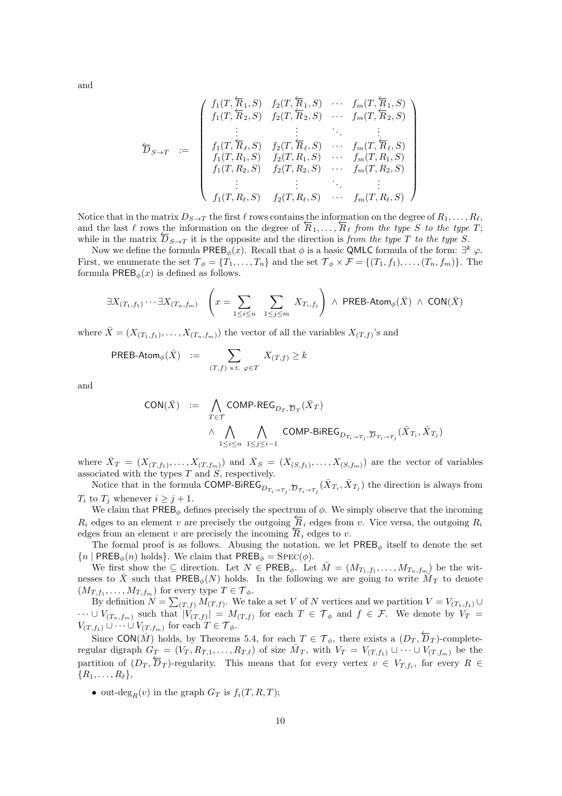and

$$
\overleftarrow{D}_{S \to T} := \begin{pmatrix}\nf_1(T, \overleftarrow{R}_1, S) & f_2(T, \overleftarrow{R}_1, S) & \cdots & f_m(T, \overleftarrow{R}_1, S) \\
f_1(T, \overleftarrow{R}_2, S) & f_2(T, \overleftarrow{R}_2, S) & \cdots & f_m(T, \overleftarrow{R}_2, S) \\
\vdots & \vdots & \ddots & \vdots \\
f_1(T, \overleftarrow{R}_\ell, S) & f_2(T, \overleftarrow{R}_\ell, S) & \cdots & f_m(T, \overleftarrow{R}_\ell, S) \\
f_1(T, R_1, S) & f_2(T, R_1, S) & \cdots & f_m(T, R_1, S) \\
f_1(T, R_2, S) & f_2(T, R_2, S) & \cdots & f_m(T, R_2, S) \\
\vdots & \vdots & \ddots & \vdots \\
f_1(T, R_\ell, S) & f_2(T, R_\ell, S) & \cdots & f_m(T, R_\ell, S)\n\end{pmatrix}
$$

Notice that in the matrix  $D_{S\to T}$  the first  $\ell$  rows contains the information on the degree of  $R_1, \ldots, R_\ell$ , and the last  $\ell$  rows the information on the degree of  $\overline{R}_1, \ldots, \overline{R}_\ell$  *from the type* S *to the type* T; while in the matrix  $\overline{D}_{S\to T}$  it is the opposite and the direction is *from the type* T *to the type* S.

Now we define the formula  $\mathsf{PREE}_{\phi}(x)$ . Recall that  $\phi$  is a basic QMLC formula of the form:  $\exists^k \varphi$ . First, we enumerate the set  $\mathcal{T}_{\phi} = \{T_1, \ldots, T_n\}$  and the set  $\mathcal{T}_{\phi} \times \mathcal{F} = \{(T_1, f_1), \ldots, (T_n, f_m)\}.$  The formula  $\mathsf{PREE}_{\phi}(x)$  is defined as follows.

$$
\exists X_{(T_1,f_1)}\cdots \exists X_{(T_n,f_m)} \quad \left(x=\sum_{1\leq i\leq n}\ \sum_{1\leq j\leq m} X_{T_i,f_j}\right)\ \wedge \ \text{PREB-Atom}_{\phi}(\bar{X})\ \wedge\ \text{CON}(\bar{X})
$$

where  $\bar{X} = (X_{(T_1,f_1)}, \ldots, X_{(T_n,f_m)})$  the vector of all the variables  $X_{(T,f)}$ 's and

$$
\mathsf{PREB\text{-}Atom}_{\phi}(\bar{X}) \ := \ \sum_{(T,f) \text{ s.t. } \varphi \in T} \ X_{(T,f)} \geq k
$$

and

$$
\begin{array}{rcl} \textsf{CON}(\bar{X}) & := & \bigwedge\limits_{T\in \mathcal{T}}\textsf{COMP-REG}_{D_{T},\overleftarrow{D}_{T}}(\bar{X}_{T})\\ & \wedge & \bigwedge\limits_{1\leq i\leq n}\ \bigwedge\limits_{1\leq j\leq i-1}\textsf{COMP-BiREG}_{D_{T_{i}\rightarrow T_{j}},\overleftarrow{D}_{T_{i}\rightarrow T_{j}}}(\bar{X}_{T_{i}},\bar{X}_{T_{j}}) \end{array}
$$

where  $\bar{X}_T = (X_{(T,f_1)},\ldots,X_{(T,f_m)})$  and  $\bar{X}_S = (X_{(S,f_1)},\ldots,X_{(S,f_m)})$  are the vector of variables associated with the types  $T$  and  $S$ , respectively.

Notice that in the formula COMP-BiREG ${}_{D_{T_i\to T_j}, \overline{D}_{T_i\to T_j}}(\bar{X}_{T_i}, \bar{X}_{T_j})$  the direction is always from  $T_i$  to  $T_j$  whenever  $i \geq j+1$ .

We claim that  $\mathsf{PREE}_{\phi}$  defines precisely the spectrum of  $\phi$ . We simply observe that the incoming  $R_i$  edges to an element v are precisely the outgoing  $\overline{R}_i$  edges from v. Vice versa, the outgoing  $R_i$ edges from an element v are precisely the incoming  $\overleftarrow{R}_i$  edges to v.

The formal proof is as follows. Abusing the notation, we let  $PREE_{\phi}$  itself to denote the set  ${n | PREB_{\phi}(n) holds}.$  We claim that  $PREB_{\phi} = \text{Spec}(\phi)$ .

We first show the  $\subseteq$  direction. Let  $N \in \text{PREB}_{\phi}$ . Let  $\bar{M} = (M_{T_1,f_1},\ldots,M_{T_n,f_m})$  be the witnesses to  $\bar{X}$  such that PREB<sub> $\phi$ </sub>(N) holds. In the following we are going to write  $\overline{M}_T$  to denote  $(M_{T,f_1},\ldots,M_{T,f_m})$  for every type  $T\in\mathcal{T}_{\phi}$ .

By definition  $N = \sum_{(T,f)} M_{(T,f)}$ . We take a set V of N vertices and we partition  $V = V_{(T_1,f_1)} \cup$  $\cdots \cup V_{(T_n,f_m)}$  such that  $|V_{(T,f)}| = M_{(T,f)}$  for each  $T \in \mathcal{T}_{\phi}$  and  $f \in \mathcal{F}$ . We denote by  $V_T =$  $V_{(T,f_1)} \cup \cdots \cup V_{(T,f_m)}$  for each  $T \in \mathcal{T}_{\phi}$ .

Since  $CON(\overline{M})$  holds, by Theorems 5.4, for each  $T \in \mathcal{T}_{\phi}$ , there exists a  $(D_T, \overleftarrow{D}_T)$ -completeregular digraph  $G_T = (V_T, R_{T,1}, \ldots, R_{T,\ell})$  of size  $\bar{M}_T$ , with  $V_T = V_{(T,f_1)} \cup \cdots \cup V_{(T,f_m)}$  be the partition of  $(D_T, \overline{D}_T)$ -regularity. This means that for every vertex  $v \in V_{T,f_i}$ , for every  $R \in$  $\{R_1,\ldots,R_\ell\},\$ 

• out-deg<sub>R</sub> $(v)$  in the graph  $G_T$  is  $f_i(T, R, T)$ ;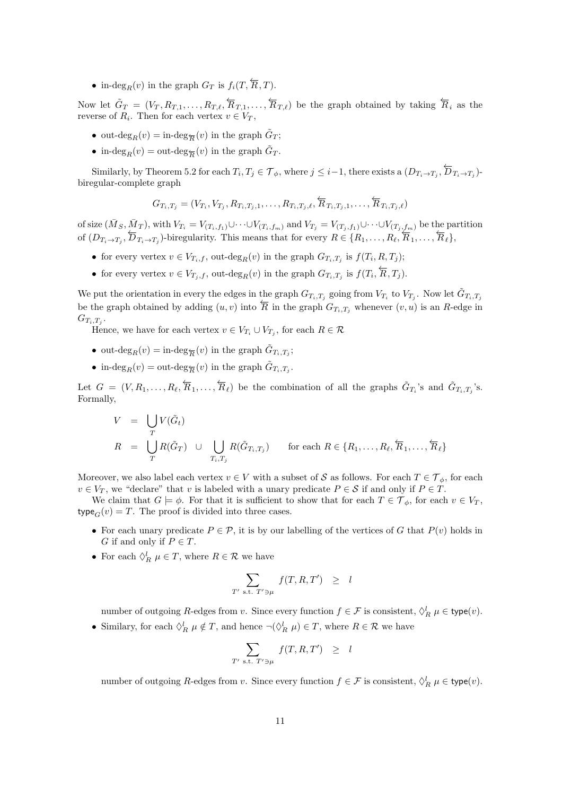• in-deg<sub>R</sub>(v) in the graph  $G_T$  is  $f_i(T, \overleftarrow{R}, T)$ .

Now let  $\tilde{G}_T = (V_T, R_{T,1}, \ldots, R_{T,\ell}, \overleftarrow{R}_{T,1}, \ldots, \overleftarrow{R}_{T,\ell})$  be the graph obtained by taking  $\overleftarrow{R}_i$  as the reverse of  $R_i$ . Then for each vertex  $v \in V_T$ ,

- out- $\deg_R(v) = \text{in-deg}_{\overline{R}}(v)$  in the graph  $\tilde{G}_T$ ;
- in- $\deg_R(v) = \text{out-deg}_{\overline{R}}(v)$  in the graph  $\tilde{G}_T$ .

Similarly, by Theorem 5.2 for each  $T_i, T_j \in \mathcal{T}_{\phi}$ , where  $j \leq i-1$ , there exists a  $(D_{T_i \to T_j}, \overleftarrow{D}_{T_i \to T_j})$ biregular-complete graph

$$
G_{T_i,T_j} = (V_{T_i}, V_{T_j}, R_{T_i,T_j,1}, \dots, R_{T_i,T_j,\ell}, \overleftarrow{R}_{T_i,T_j,1}, \dots, \overleftarrow{R}_{T_i,T_j,\ell})
$$

of size  $(\bar{M}_S, \bar{M}_T)$ , with  $V_{T_i} = V_{(T_i,f_1)} \cup \cdots \cup V_{(T_i,f_m)}$  and  $V_{T_j} = V_{(T_j,f_1)} \cup \cdots \cup V_{(T_j,f_m)}$  be the partition of  $(D_{T_i\rightarrow T_j}, \overleftarrow{D}_{T_i\rightarrow T_j})$ -biregularity. This means that for every  $R \in \{R_1, \ldots, R_\ell, \overleftarrow{R}_1, \ldots, \overleftarrow{R}_\ell\}$ ,

- for every vertex  $v \in V_{T_i,f}$ , out-deg<sub>R</sub> $(v)$  in the graph  $G_{T_i,T_j}$  is  $f(T_i, R, T_j)$ ;
- for every vertex  $v \in V_{T_j,f}$ , out-deg<sub>R</sub> $(v)$  in the graph  $G_{T_i,T_j}$  is  $f(T_i, \overleftarrow{R}, T_j)$ .

We put the orientation in every the edges in the graph  $G_{T_i,T_j}$  going from  $V_{T_i}$  to  $V_{T_j}$ . Now let  $\tilde{G}_{T_i,T_j}$ be the graph obtained by adding  $(u, v)$  into  $\overline{R}$  in the graph  $G_{T_i, T_j}$  whenever  $(v, u)$  is an R-edge in  $G_{T_i,T_j}.$ 

Hence, we have for each vertex  $v \in V_{T_i} \cup V_{T_j}$ , for each  $R \in \mathcal{R}$ 

- out- $\deg_R(v) = \text{in-deg}_{\overline{R}}(v)$  in the graph  $\tilde{G}_{T_i,T_j}$ ;
- in-deg<sub>R</sub>(v) = out-deg<sub> $\overline{R}$ </sub>(v) in the graph  $\tilde{G}_{T_i,T_j}$ .

Let  $G = (V, R_1, \ldots, R_\ell, \overleftarrow{R}_1, \ldots, \overleftarrow{R}_\ell)$  be the combination of all the graphs  $\tilde{G}_{T_i}$ 's and  $\tilde{G}_{T_i,T_j}$ 's. Formally,

$$
V = \bigcup_{T} V(\tilde{G}_{t})
$$
  
\n
$$
R = \bigcup_{T} R(\tilde{G}_{T}) \cup \bigcup_{T_{i}, T_{j}} R(\tilde{G}_{T_{i}, T_{j}}) \quad \text{for each } R \in \{R_{1}, \ldots, R_{\ell}, \overleftarrow{R}_{1}, \ldots, \overleftarrow{R}_{\ell}\}
$$

Moreover, we also label each vertex  $v \in V$  with a subset of S as follows. For each  $T \in \mathcal{T}_{\phi}$ , for each  $v \in V_T$ , we "declare" that v is labeled with a unary predicate  $P \in S$  if and only if  $P \in T$ .

We claim that  $G \models \phi$ . For that it is sufficient to show that for each  $T \in \mathcal{T}_{\phi}$ , for each  $v \in V_T$ , type<sub>G</sub> $(v) = T$ . The proof is divided into three cases.

- For each unary predicate  $P \in \mathcal{P}$ , it is by our labelling of the vertices of G that  $P(v)$  holds in G if and only if  $P \in T$ .
- For each  $\Diamond_R^l$   $\mu \in T$ , where  $R \in \mathcal{R}$  we have

$$
\sum_{T' \text{ s.t. } T' \ni \mu} f(T, R, T') \geq l
$$

number of outgoing R-edges from v. Since every function  $f \in \mathcal{F}$  is consistent,  $\Diamond_R^l \mu \in \text{type}(v)$ .

• Similary, for each  $\Diamond_R^l \mu \notin T$ , and hence  $\neg(\Diamond_R^l \mu) \in T$ , where  $R \in \mathcal{R}$  we have

$$
\sum_{T' \text{ s.t. } T' \ni \mu} f(T, R, T') \geq l
$$

number of outgoing R-edges from v. Since every function  $f \in \mathcal{F}$  is consistent,  $\Diamond_R^l \mu \in \text{type}(v)$ .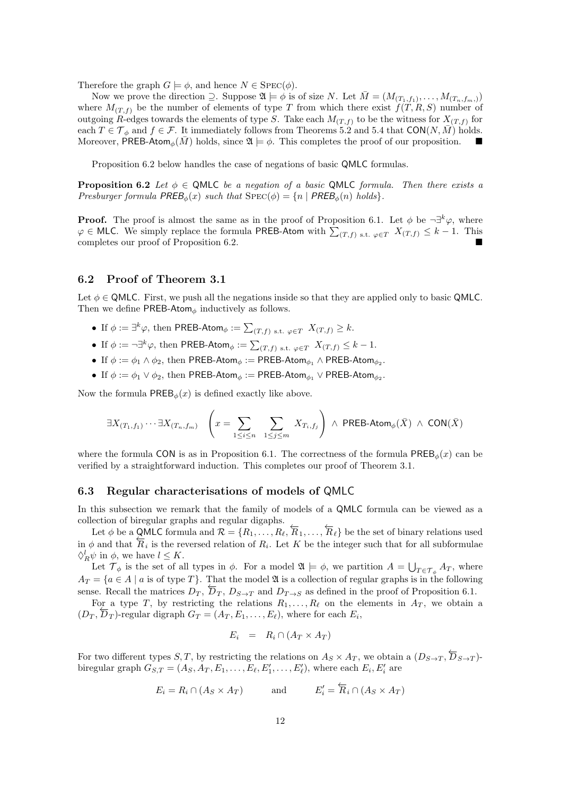Therefore the graph  $G \models \phi$ , and hence  $N \in \text{Spec}(\phi)$ .

Now we prove the direction  $\supseteq$ . Suppose  $\mathfrak{A} \models \phi$  is of size N. Let  $\overline{M} = (M_{(T_1,f_1)}, \ldots, M_{(T_n,f_m)})$ where  $M(T, f)$  be the number of elements of type T from which there exist  $f(T, R, S)$  number of outgoing R-edges towards the elements of type S. Take each  $M_{(T,f)}$  to be the witness for  $X_{(T,f)}$  for each  $T \in \mathcal{T}_{\phi}$  and  $f \in \mathcal{F}$ . It immediately follows from Theorems 5.2 and 5.4 that CON $(N, \overline{M})$  holds. Moreover, PREB-Atom<sub>φ</sub>( $\overline{M}$ ) holds, since  $\mathfrak{A} \models \phi$ . This completes the proof of our proposition.

Proposition 6.2 below handles the case of negations of basic QMLC formulas.

**Proposition 6.2** *Let*  $\phi \in QMLC$  *be a negation of a basic* QMLC *formula. Then there exists a Presburger formula*  $PREB_{\phi}(x)$  *such that*  $SPEC(\phi) = \{n \mid PREB_{\phi}(n)$  *holds* $\}.$ 

**Proof.** The proof is almost the same as in the proof of Proposition 6.1. Let  $\phi$  be  $\neg \exists^k \varphi$ , where  $\varphi \in$  MLC. We simply replace the formula PREB-Atom with  $\sum_{(T,f) \text{ s.t. } \varphi \in T} X_{(T,f)} \leq k-1$ . This completes our proof of Proposition 6.2.

#### 6.2 Proof of Theorem 3.1

Let  $\phi \in QMLC$ . First, we push all the negations inside so that they are applied only to basic QMLC. Then we define PREB-Atom<sub> $\phi$ </sub> inductively as follows.

- If  $\phi := \exists^k \varphi$ , then PREB-Atom $\phi := \sum_{(T,f) \text{ s.t. } \varphi \in T} X_{(T,f)} \geq k$ .
- If  $\phi := \neg \exists^k \varphi$ , then PREB-Atom $\phi := \sum_{(T,f)} \mathbf{s.t.} \varphi \in T} X_{(T,f)} \leq k-1$ .
- If  $\phi := \phi_1 \wedge \phi_2$ , then PREB-Atom $_\phi := \mathsf{PREB\text{-}Atom}_{\phi_1} \wedge \mathsf{PREB\text{-}Atom}_{\phi_2}$ .
- If  $\phi := \phi_1 \vee \phi_2$ , then PREB-Atom $_\phi := \mathsf{PREB\text{-}Atom}_{\phi_1} \vee \mathsf{PREB\text{-}Atom}_{\phi_2}$ .

Now the formula  $PREB_{\phi}(x)$  is defined exactly like above.

$$
\exists X_{(T_1,f_1)}\cdots \exists X_{(T_n,f_m)} \quad \left(x=\sum_{1\leq i\leq n}\ \sum_{1\leq j\leq m}\ X_{T_i,f_j}\right)\ \wedge \ \text{PREB-Atom}_{\phi}(\bar{X})\ \wedge\ \text{CON}(\bar{X})
$$

where the formula CON is as in Proposition 6.1. The correctness of the formula PREB<sub> $\phi(x)$ </sub> can be verified by a straightforward induction. This completes our proof of Theorem 3.1.

#### 6.3 Regular characterisations of models of QMLC

In this subsection we remark that the family of models of a QMLC formula can be viewed as a collection of biregular graphs and regular digaphs.

Let  $\phi$  be a QMLC formula and  $\mathcal{R} = \{R_1, \ldots, R_\ell, \overleftarrow{R}_1, \ldots, \overleftarrow{R}_\ell\}$  be the set of binary relations used in  $\phi$  and that  $\overline{R}_i$  is the reversed relation of  $R_i$ . Let K be the integer such that for all subformulae  $\Diamond_R^l \psi$  in  $\phi$ , we have  $l \leq K$ .

Let  $\mathcal{T}_{\phi}$  is the set of all types in  $\phi$ . For a model  $\mathfrak{A} \models \phi$ , we partition  $A = \bigcup_{T \in \mathcal{T}_{\phi}} A_T$ , where  $A_T = \{a \in A \mid a \text{ is of type } T\}.$  That the model  $\mathfrak A$  is a collection of regular graphs is in the following sense. Recall the matrices  $D_T$ ,  $\overline{D}_T$ ,  $D_{S\rightarrow T}$  and  $D_{T\rightarrow S}$  as defined in the proof of Proposition 6.1.

For a type T, by restricting the relations  $R_1, \ldots, R_\ell$  on the elements in  $A_T$ , we obtain a  $(D_T, \overline{D}_T)$ -regular digraph  $G_T = (A_T, E_1, \ldots, E_\ell)$ , where for each  $E_i$ ,

$$
E_i = R_i \cap (A_T \times A_T)
$$

For two different types  $S, T$ , by restricting the relations on  $A_S \times A_T$ , we obtain a  $(D_{S \to T}, \overleftarrow{D}_{S \to T})$ biregular graph  $G_{S,T} = (A_S, A_T, E_1, \ldots, E_\ell, E'_1, \ldots, E'_\ell)$ , where each  $E_i, E'_i$  are

$$
E_i = R_i \cap (A_S \times A_T) \quad \text{and} \quad E'_i = \overleftarrow{R}_i \cap (A_S \times A_T)
$$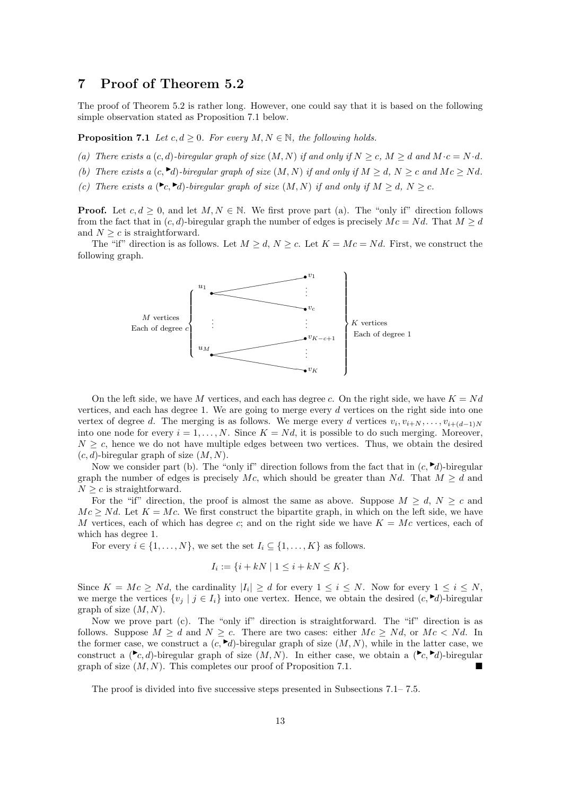### 7 Proof of Theorem 5.2

The proof of Theorem 5.2 is rather long. However, one could say that it is based on the following simple observation stated as Proposition 7.1 below.

**Proposition 7.1** *Let*  $c, d \geq 0$ *. For every*  $M, N \in \mathbb{N}$ *, the following holds.* 

- (a) There exists a  $(c, d)$ *-biregular graph of size*  $(M, N)$  *if and only if*  $N \geq c$ ,  $M \geq d$  *and*  $M \cdot c = N \cdot d$ *.*
- *(b)* There exists a  $(c, \blacktriangleright d)$ -biregular graph of size  $(M, N)$  if and only if  $M \geq d$ ,  $N \geq c$  and  $Mc \geq Nd$ .
- (c) There exists a  $(\infty, \infty)$ *-biregular graph of size*  $(M, N)$  *if and only if*  $M \ge d$ ,  $N \ge c$ *.*

**Proof.** Let  $c, d \geq 0$ , and let  $M, N \in \mathbb{N}$ . We first prove part (a). The "only if" direction follows from the fact that in  $(c, d)$ -biregular graph the number of edges is precisely  $Mc = Nd$ . That  $M \geq d$ and  $N \geq c$  is straightforward.

The "if" direction is as follows. Let  $M \geq d$ ,  $N \geq c$ . Let  $K = Mc = Nd$ . First, we construct the following graph.



On the left side, we have M vertices, and each has degree c. On the right side, we have  $K = Nd$ vertices, and each has degree 1. We are going to merge every d vertices on the right side into one vertex of degree d. The merging is as follows. We merge every d vertices  $v_i, v_{i+N}, \ldots, v_{i+(d-1)N}$ into one node for every  $i = 1, ..., N$ . Since  $K = Nd$ , it is possible to do such merging. Moreover,  $N \geq c$ , hence we do not have multiple edges between two vertices. Thus, we obtain the desired  $(c, d)$ -biregular graph of size  $(M, N)$ .

Now we consider part (b). The "only if" direction follows from the fact that in  $(c, \blacktriangleright d)$ -biregular graph the number of edges is precisely Mc, which should be greater than Nd. That  $M \geq d$  and  $N \geq c$  is straightforward.

For the "if" direction, the proof is almost the same as above. Suppose  $M \geq d$ ,  $N \geq c$  and  $Mc \geq Nd$ . Let  $K = Mc$ . We first construct the bipartite graph, in which on the left side, we have M vertices, each of which has degree c; and on the right side we have  $K = Mc$  vertices, each of which has degree 1.

For every  $i \in \{1, ..., N\}$ , we set the set  $I_i \subseteq \{1, ..., K\}$  as follows.

$$
I_i := \{ i + kN \mid 1 \le i + kN \le K \}.
$$

Since  $K = Mc \geq Nd$ , the cardinality  $|I_i| \geq d$  for every  $1 \leq i \leq N$ . Now for every  $1 \leq i \leq N$ , we merge the vertices  $\{v_i \mid j \in I_i\}$  into one vertex. Hence, we obtain the desired  $(c, \blacktriangleright d)$ -biregular graph of size  $(M, N)$ .

Now we prove part (c). The "only if" direction is straightforward. The "if" direction is as follows. Suppose  $M \geq d$  and  $N \geq c$ . There are two cases: either  $Mc \geq Nd$ , or  $Mc < Nd$ . In the former case, we construct a  $(c, \blacktriangleright d)$ -biregular graph of size  $(M, N)$ , while in the latter case, we construct a  $(\blacktriangleright_{c,d})$ -biregular graph of size  $(M, N)$ . In either case, we obtain a  $(\blacktriangleright_{c,d})$ -biregular graph of size  $(M, N)$ . This completes our proof of Proposition 7.1.

The proof is divided into five successive steps presented in Subsections 7.1– 7.5.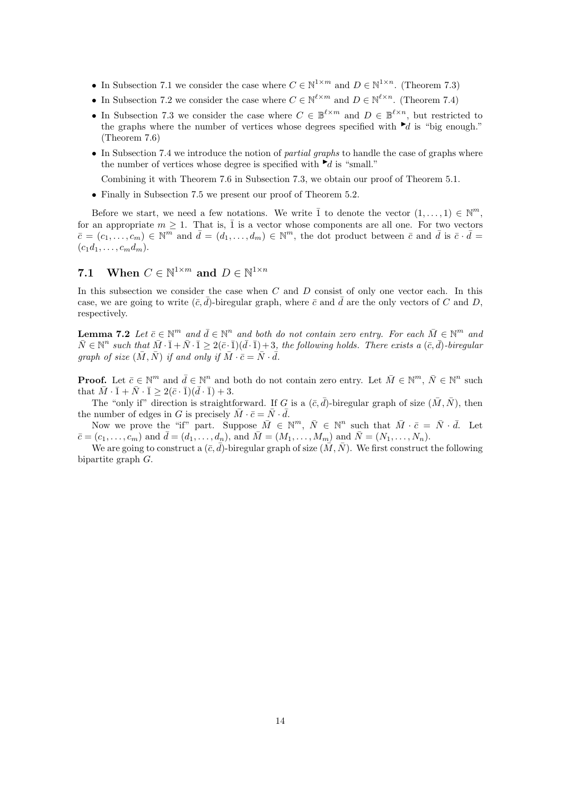- In Subsection 7.1 we consider the case where  $C \in \mathbb{N}^{1 \times m}$  and  $D \in \mathbb{N}^{1 \times n}$ . (Theorem 7.3)
- In Subsection 7.2 we consider the case where  $C \in \mathbb{N}^{\ell \times m}$  and  $D \in \mathbb{N}^{\ell \times n}$ . (Theorem 7.4)
- In Subsection 7.3 we consider the case where  $C \in \mathbb{B}^{\ell \times m}$  and  $D \in \mathbb{B}^{\ell \times n}$ , but restricted to the graphs where the number of vertices whose degrees specified with  $\blacktriangleright d$  is "big enough." (Theorem 7.6)
- In Subsection 7.4 we introduce the notion of *partial graphs* to handle the case of graphs where the number of vertices whose degree is specified with  $\blacktriangleright d$  is "small."

Combining it with Theorem 7.6 in Subsection 7.3, we obtain our proof of Theorem 5.1.

• Finally in Subsection 7.5 we present our proof of Theorem 5.2.

Before we start, we need a few notations. We write  $\overline{1}$  to denote the vector  $(1,\ldots,1) \in \mathbb{N}^m$ , for an appropriate  $m \geq 1$ . That is,  $\overline{1}$  is a vector whose components are all one. For two vectors  $\bar{c} = (c_1, \ldots, c_m) \in \mathbb{N}^m$  and  $\bar{d} = (d_1, \ldots, d_m) \in \mathbb{N}^m$ , the dot product between  $\bar{c}$  and  $\bar{d}$  is  $\bar{c} \cdot \bar{d} =$  $(c_1d_1, \ldots, c_md_m).$ 

### 7.1 When  $C \in \mathbb{N}^{1 \times m}$  and  $D \in \mathbb{N}^{1 \times n}$

In this subsection we consider the case when C and D consist of only one vector each. In this case, we are going to write  $(\bar{c}, d)$ -biregular graph, where  $\bar{c}$  and  $\bar{d}$  are the only vectors of C and D, respectively.

**Lemma 7.2** Let  $\bar{c} \in \mathbb{N}^m$  and  $\bar{d} \in \mathbb{N}^n$  and both do not contain zero entry. For each  $\bar{M} \in \mathbb{N}^m$  and  $\bar{N} \in \mathbb{N}^n$  such that  $\bar{M} \cdot \bar{1} + \bar{N} \cdot \bar{1} \geq 2(\bar{c} \cdot \bar{1})(\bar{d} \cdot \bar{1}) + 3$ , the following holds. There exists a  $(\bar{c}, \bar{d})$ -biregular *graph of size*  $(\bar{M}, \bar{N})$  *if and only if*  $\bar{M} \cdot \bar{c} = \bar{N} \cdot \bar{d}$ *.* 

**Proof.** Let  $\bar{c} \in \mathbb{N}^m$  and  $\bar{d} \in \mathbb{N}^n$  and both do not contain zero entry. Let  $\bar{M} \in \mathbb{N}^m$ ,  $\bar{N} \in \mathbb{N}^n$  such that  $\bar{M} \cdot \bar{1} + \bar{N} \cdot \bar{1} > 2(\bar{c} \cdot \bar{1})(\bar{d} \cdot \bar{1}) + 3.$ 

The "only if" direction is straightforward. If G is a  $(\bar{c}, \bar{d})$ -biregular graph of size  $(\bar{M}, \bar{N})$ , then the number of edges in G is precisely  $\overline{M} \cdot \overline{c} = \overline{N} \cdot \overline{d}$ .

Now we prove the "if" part. Suppose  $\overline{M} \in \mathbb{N}^m$ ,  $\overline{N} \in \mathbb{N}^n$  such that  $\overline{M} \cdot \overline{c} = \overline{N} \cdot \overline{d}$ . Let  $\bar{c} = (c_1, \ldots, c_m)$  and  $\bar{d} = (d_1, \ldots, d_n)$ , and  $\bar{M} = (M_1, \ldots, M_m)$  and  $\bar{N} = (N_1, \ldots, N_n)$ .

We are going to construct a  $(\bar{c}, d)$ -biregular graph of size  $(M, N)$ . We first construct the following bipartite graph G.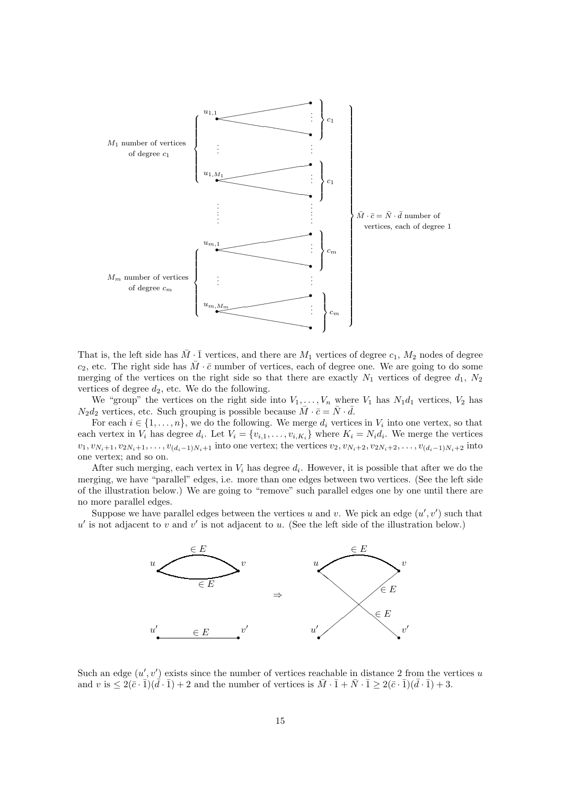

That is, the left side has  $\overline{M} \cdot \overline{1}$  vertices, and there are  $M_1$  vertices of degree  $c_1$ ,  $M_2$  nodes of degree  $c_2$ , etc. The right side has  $\overline{M} \cdot \overline{c}$  number of vertices, each of degree one. We are going to do some merging of the vertices on the right side so that there are exactly  $N_1$  vertices of degree  $d_1$ ,  $N_2$ vertices of degree  $d_2$ , etc. We do the following.

We "group" the vertices on the right side into  $V_1, \ldots, V_n$  where  $V_1$  has  $N_1d_1$  vertices,  $V_2$  has  $N_2d_2$  vertices, etc. Such grouping is possible because  $\overline{M} \cdot \overline{c} = \overline{N} \cdot \overline{d}$ .

For each  $i \in \{1, \ldots, n\}$ , we do the following. We merge  $d_i$  vertices in  $V_i$  into one vertex, so that each vertex in  $V_i$  has degree  $d_i$ . Let  $V_i = \{v_{i,1}, \ldots, v_{i,K_i}\}\$  where  $K_i = N_i d_i$ . We merge the vertices  $v_1, v_{N_i+1}, v_{2N_i+1}, \ldots, v_{(d_i-1)N_i+1}$  into one vertex; the vertices  $v_2, v_{N_i+2}, v_{2N_i+2}, \ldots, v_{(d_i-1)N_i+2}$  into one vertex; and so on.

After such merging, each vertex in  $V_i$  has degree  $d_i$ . However, it is possible that after we do the merging, we have "parallel" edges, i.e. more than one edges between two vertices. (See the left side of the illustration below.) We are going to "remove" such parallel edges one by one until there are no more parallel edges.

Suppose we have parallel edges between the vertices u and v. We pick an edge  $(u', v')$  such that  $u'$  is not adjacent to v and v' is not adjacent to u. (See the left side of the illustration below.)



Such an edge  $(u', v')$  exists since the number of vertices reachable in distance 2 from the vertices u and v is  $\leq 2(\bar{c} \cdot \bar{1})(\bar{d} \cdot \bar{1}) + 2$  and the number of vertices is  $\bar{M} \cdot \bar{1} + \bar{N} \cdot \bar{1} \geq 2(\bar{c} \cdot \bar{1})(\bar{d} \cdot \bar{1}) + 3$ .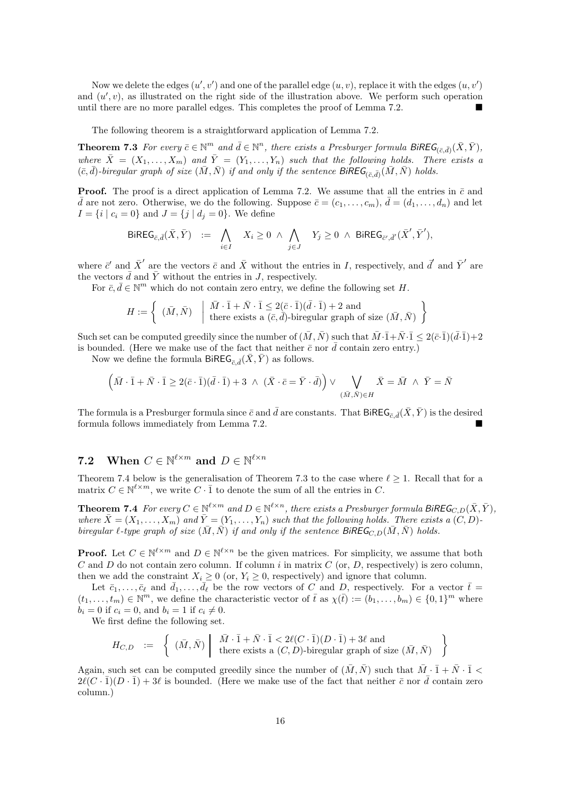Now we delete the edges  $(u', v')$  and one of the parallel edge  $(u, v)$ , replace it with the edges  $(u, v')$ and  $(u', v)$ , as illustrated on the right side of the illustration above. We perform such operation until there are no more parallel edges. This completes the proof of Lemma 7.2.

The following theorem is a straightforward application of Lemma 7.2.

**Theorem 7.3** For every  $\bar{c} \in \mathbb{N}^m$  and  $\bar{d} \in \mathbb{N}^n$ , there exists a Presburger formula  $\text{BiREG}_{(\bar{c},\bar{d})}(\bar{X}, \bar{Y})$ , where  $\bar{X} = (X_1, \ldots, X_m)$  and  $\bar{Y} = (Y_1, \ldots, Y_n)$  such that the following holds. There exists a  $(\bar{c}, \bar{d})$ -biregular graph of size  $(\bar{M}, \bar{N})$  if and only if the sentence  $\mathcal{B}i\mathcal{R}\mathcal{E}\mathcal{G}_{(\bar{c}, \bar{d})}(\bar{M}, \bar{N})$  holds.

**Proof.** The proof is a direct application of Lemma 7.2. We assume that all the entries in  $\bar{c}$  and  $\bar{d}$  are not zero. Otherwise, we do the following. Suppose  $\bar{c} = (c_1, \ldots, c_m)$ ,  $\bar{d} = (d_1, \ldots, d_n)$  and let  $I = \{i \mid c_i = 0\}$  and  $J = \{j \mid d_j = 0\}$ . We define

$$
\mathsf{BiREG}_{\bar{c},\bar{d}}(\bar{X}, \bar{Y}) \ := \ \bigwedge_{i \in I} \quad X_i \geq 0 \ \wedge \ \bigwedge_{j \in J} \quad Y_j \geq 0 \ \wedge \ \mathsf{BiREG}_{\bar{c}',\bar{d}'}(\bar{X}', \bar{Y}'),
$$

where  $\bar{c}'$  and  $\bar{X}'$  are the vectors  $\bar{c}$  and  $\bar{X}$  without the entries in I, respectively, and  $\bar{d}'$  and  $\bar{Y}'$  are the vectors  $\bar{d}$  and  $\bar{Y}$  without the entries in J, respectively.

For  $\bar{c}, \bar{d} \in \mathbb{N}^m$  which do not contain zero entry, we define the following set H.

$$
H := \left\{ \begin{array}{c} (\bar{M}, \bar{N}) \quad \left| \begin{array}{c} \bar{M} \cdot \bar{1} + \bar{N} \cdot \bar{1} \leq 2(\bar{c} \cdot \bar{1})(\bar{d} \cdot \bar{1}) + 2 \text{ and} \\ \text{there exists a } (\bar{c}, \bar{d}) \text{-biregular graph of size } (\bar{M}, \bar{N}) \end{array} \right\} \end{array} \right\}
$$

Such set can be computed greedily since the number of  $(\bar{M}, \bar{N})$  such that  $\bar{M} \cdot \bar{1} + \bar{N} \cdot \bar{1} \leq 2(\bar{c} \cdot \bar{1})(\bar{d} \cdot \bar{1}) + 2$ is bounded. (Here we make use of the fact that neither  $\bar{c}$  nor  $\bar{d}$  contain zero entry.)

Now we define the formula BiREG<sub> $\bar{\epsilon}$ </sub> $(\bar{X}, \bar{Y})$  as follows.

$$
(\bar{M}\cdot\bar{1}+\bar{N}\cdot\bar{1}\geq 2(\bar{c}\cdot\bar{1})(\bar{d}\cdot\bar{1})+3\ \wedge\ (\bar{X}\cdot\bar{c}=\bar{Y}\cdot\bar{d})\big)\vee\bigvee_{(\bar{M},\bar{N})\in H}\bar{X}=\bar{M}\ \wedge\ \bar{Y}=\bar{N}
$$

The formula is a Presburger formula since  $\bar{c}$  and  $\bar{d}$  are constants. That BiREG<sub> $\bar{c}$ </sub>  $(\bar{X}, \bar{Y})$  is the desired formula follows immediately from Lemma 7.2.

### 7.2 When  $C \in \mathbb{N}^{\ell \times m}$  and  $D \in \mathbb{N}^{\ell \times n}$

Theorem 7.4 below is the generalisation of Theorem 7.3 to the case where  $\ell \geq 1$ . Recall that for a matrix  $C \in \mathbb{N}^{\ell \times m}$ , we write  $C \cdot \overline{1}$  to denote the sum of all the entries in C.

**Theorem 7.4** For every  $C \in \mathbb{N}^{\ell \times m}$  and  $D \in \mathbb{N}^{\ell \times n}$ , there exists a Presburger formula BiREG<sub>C,D</sub>( $\bar{X}, \bar{Y}$ ), *where*  $\bar{X} = (X_1, \ldots, X_m)$  *and*  $\bar{Y} = (Y_1, \ldots, Y_n)$  *such that the following holds. There exists a*  $(C, D)$ *biregular*  $\ell$ -type graph of size  $(\bar{M}, \bar{N})$  if and only if the sentence  $\text{BiREG}_{C,D}(\bar{M}, \bar{N})$  holds.

**Proof.** Let  $C \in \mathbb{N}^{\ell \times m}$  and  $D \in \mathbb{N}^{\ell \times n}$  be the given matrices. For simplicity, we assume that both C and D do not contain zero column. If column i in matrix C (or, D, respectively) is zero column. then we add the constraint  $X_i \geq 0$  (or,  $Y_i \geq 0$ , respectively) and ignore that column.

Let  $\bar{c}_1,\ldots,\bar{c}_{\ell}$  and  $\bar{d}_1,\ldots,\bar{d}_{\ell}$  be the row vectors of C and D, respectively. For a vector  $\bar{t}$  =  $(t_1,\ldots,t_m)\in\mathbb{N}^m$ , we define the characteristic vector of  $\bar{t}$  as  $\chi(\bar{t}):=(b_1,\ldots,b_m)\in\{0,1\}^m$  where  $b_i = 0$  if  $c_i = 0$ , and  $b_i = 1$  if  $c_i \neq 0$ .

We first define the following set.

$$
\label{eq:HC} H_{C,D} \hspace{2mm} := \hspace{2mm} \left\{ \begin{array}{cl} (\bar{M},\bar{N}) \hspace{2mm} \left| \begin{array}{cl} \bar{M} \cdot \bar{1} + \bar{N} \cdot \bar{1} < 2 \ell (C \cdot \bar{1}) (D \cdot \bar{1}) + 3 \ell \text{ and} \\ \text{there exists a } (C,D)\text{-biregular graph of size } (\bar{M},\bar{N}) \end{array} \right. \end{array} \right\}
$$

Again, such set can be computed greedily since the number of  $(\bar{M}, \bar{N})$  such that  $\bar{M} \cdot \bar{1} + \bar{N} \cdot \bar{1}$  <  $2\ell(C\cdot\bar{1})(D\cdot\bar{1})+3\ell$  is bounded. (Here we make use of the fact that neither  $\bar{c}$  nor  $\bar{d}$  contain zero column.)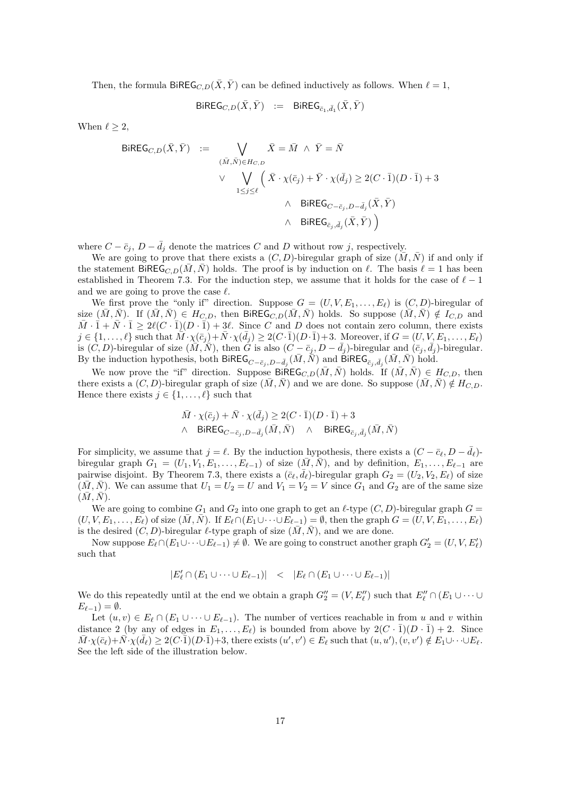Then, the formula BiREG<sub>C,D</sub>( $\overline{X}, \overline{Y}$ ) can be defined inductively as follows. When  $\ell = 1$ ,

 ${\sf BiREG}_{C,D}(\bar X, \bar Y)$  :=  ${\sf BiREG}_{\bar c_1, \bar d_1}(\bar X, \bar Y)$ 

When  $\ell \geq 2$ ,

$$
\begin{array}{rcl} \text{BiREG}_{C,D}(\bar{X},\bar{Y}) & := & \bigvee\limits_{(\bar{M},\bar{N})\in H_{C,D}} \bar{X}=\bar{M} \ \wedge \ \bar{Y}=\bar{N} \\ & \vee & \bigvee\limits_{1\leq j\leq \ell} \Big(\ \bar{X}\cdot\chi(\bar{c}_j)+\bar{Y}\cdot\chi(\bar{d}_j)\geq 2(C\cdot\bar{1})(D\cdot\bar{1})+3 \\ & \wedge & \text{BiREG}_{C-\bar{c}_j,D-\bar{d}_j}(\bar{X},\bar{Y}) \\ & \wedge & \text{BiREG}_{\bar{c}_j,\bar{d}_j}(\bar{X},\bar{Y}) \Big) \end{array}
$$

where  $C - \bar{c}_j$ ,  $D - \bar{d}_j$  denote the matrices C and D without row j, respectively.

We are going to prove that there exists a  $(C, D)$ -biregular graph of size  $(\overline{M}, \overline{N})$  if and only if the statement BiREG<sub>C,D</sub>( $\overline{M}, \overline{N}$ ) holds. The proof is by induction on  $\ell$ . The basis  $\ell = 1$  has been established in Theorem 7.3. For the induction step, we assume that it holds for the case of  $\ell-1$ and we are going to prove the case  $\ell$ .

We first prove the "only if" direction. Suppose  $G = (U, V, E_1, \ldots, E_\ell)$  is  $(C, D)$ -biregular of size  $(\bar{M}, \bar{N})$ . If  $(\bar{M}, \bar{N}) \in H_{C, D}$ , then BiREG<sub>C,D</sub> $(\bar{M}, \bar{N})$  holds. So suppose  $(\bar{M}, \bar{N}) \notin I_{C, D}$  and  $\bar{M} \cdot \bar{1} + \bar{N} \cdot \bar{1} \geq 2\ell(C \cdot \bar{1})(D \cdot \bar{1}) + 3\ell$ . Since C and D does not contain zero column, there exists  $j \in \{1, \ldots, \ell\}$  such that  $\overline{\hat{M}} \cdot \chi(\overline{c}_j) + \overline{N} \cdot \chi(\overline{d}_j) \ge 2(C \cdot \overline{1})(D \cdot \overline{1}) + 3$ . Moreover, if  $G = (U, V, E_1, \ldots, E_\ell)$ is  $(C, D)$ -biregular of size  $(\overline{M}, \overline{N})$ , then G is also  $(C - \overline{c}_j, D - \overline{d}_j)$ -biregular and  $(\overline{c}_j, \overline{d}_j)$ -biregular. By the induction hypothesis, both BiREG<sub>C− $\bar{c}_j$ ,  $D-\bar{d}_j$  ( $\bar{M}$ ,  $\bar{N}$ ) and BiREG $_{\bar{c}_j, \bar{d}_j}$  ( $\bar{M}$ ,  $\bar{N}$ ) hold.</sub>

We now prove the "if" direction. Suppose BiREG<sub>C,D</sub>( $\overline{M}, \overline{N}$ ) holds. If  $(\overline{M}, \overline{N}) \in H_{C,D}$ , then there exists a  $(C, D)$ -biregular graph of size  $(\overline{M}, \overline{N})$  and we are done. So suppose  $(\overline{M}, \overline{N}) \notin H_{C, D}$ . Hence there exists  $j \in \{1, \ldots, \ell\}$  such that

$$
\begin{aligned}\n\bar{M} \cdot \chi(\bar{c}_j) + \bar{N} \cdot \chi(\bar{d}_j) &\ge 2(C \cdot \bar{1})(D \cdot \bar{1}) + 3 \\
\wedge \quad & \text{BiREG}_{C - \bar{c}_j, D - \bar{d}_j}(\bar{M}, \bar{N}) \quad \wedge \quad & \text{BiREG}_{\bar{c}_j, \bar{d}_j}(\bar{M}, \bar{N})\n\end{aligned}
$$

For simplicity, we assume that  $j = \ell$ . By the induction hypothesis, there exists a  $(C - \bar{c}_{\ell}, D - \bar{d}_{\ell})$ biregular graph  $G_1 = (U_1, V_1, E_1, \ldots, E_{\ell-1})$  of size  $(M, N)$ , and by definition,  $E_1, \ldots, E_{\ell-1}$  are pairwise disjoint. By Theorem 7.3, there exists a  $(\bar{c}_{\ell}, \bar{d}_{\ell})$ -biregular graph  $G_2 = (U_2, V_2, E_{\ell})$  of size  $(\bar{M}, \bar{N})$ . We can assume that  $U_1 = U_2 = U$  and  $V_1 = V_2 = V$  since  $G_1$  and  $G_2$  are of the same size  $(\bar{M}, \bar{N}).$ 

We are going to combine  $G_1$  and  $G_2$  into one graph to get an  $\ell$ -type  $(C, D)$ -biregular graph  $G =$  $(U, V, E_1, \ldots, E_\ell)$  of size  $(\bar{M}, \bar{N})$ . If  $E_\ell \cap (E_1 \cup \cdots \cup E_{\ell-1}) = \emptyset$ , then the graph  $G = (U, V, E_1, \ldots, E_\ell)$ is the desired  $(C, D)$ -biregular  $\ell$ -type graph of size  $(\bar{M}, \bar{N})$ , and we are done.

Now suppose  $E_{\ell} \cap (E_1 \cup \cdots \cup E_{\ell-1}) \neq \emptyset$ . We are going to construct another graph  $G'_2 = (U, V, E'_{\ell})$ such that

$$
|E'_{\ell} \cap (E_1 \cup \cdots \cup E_{\ell-1})| < |E_{\ell} \cap (E_1 \cup \cdots \cup E_{\ell-1})|
$$

We do this repeatedly until at the end we obtain a graph  $G''_2 = (V, E''_\ell)$  such that  $E''_\ell \cap (E_1 \cup \cdots \cup E_n)$  $E_{\ell-1}$ ) =  $\emptyset$ .

Let  $(u, v) \in E_\ell \cap (E_1 \cup \cdots \cup E_{\ell-1})$ . The number of vertices reachable in from u and v within distance 2 (by any of edges in  $E_1, \ldots, E_\ell$ ) is bounded from above by  $2(C \cdot \bar{1})(D \cdot \bar{1}) + 2$ . Since  $\overline{M}\cdot\chi(\overline{c}_{\ell})+\overline{N}\cdot\chi(\overline{d}_{\ell})\geq 2(C\cdot\overline{1})(D\cdot\overline{1})+3$ , there exists  $(u',v')\in E_{\ell}$  such that  $(u,u'),(v,v')\notin E_1\cup\cdots\cup E_{\ell}$ . See the left side of the illustration below.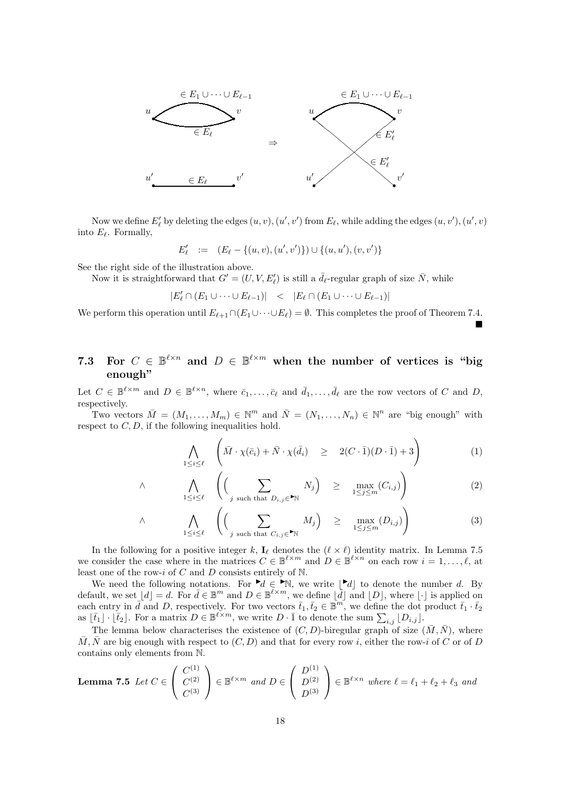

Now we define  $E'_{\ell}$  by deleting the edges  $(u, v), (u', v')$  from  $E_{\ell}$ , while adding the edges  $(u, v'), (u', v)$ into  $E_{\ell}$ . Formally,

$$
E'_{\ell} \ := \ (E_{\ell} - \{(u,v),(u',v')\}) \cup \{(u,u'),(v,v')\}
$$

See the right side of the illustration above.

∧

Now it is straightforward that  $G' = (U, V, E'_{\ell})$  is still a  $\bar{d}_{\ell}$ -regular graph of size  $\bar{N}$ , while

$$
|E'_{\ell} \cap (E_1 \cup \cdots \cup E_{\ell-1})| \quad < \quad |E_{\ell} \cap (E_1 \cup \cdots \cup E_{\ell-1})|
$$

We perform this operation until  $E_{\ell+1} \cap (E_1 \cup \cdots \cup E_{\ell}) = \emptyset$ . This completes the proof of Theorem 7.4.  $\blacksquare$ 

### 7.3 For  $C \in \mathbb{B}^{\ell \times n}$  and  $D \in \mathbb{B}^{\ell \times m}$  when the number of vertices is "big enough"

Let  $C \in \mathbb{B}^{\ell \times m}$  and  $D \in \mathbb{B}^{\ell \times n}$ , where  $\bar{c}_1, \ldots, \bar{c}_\ell$  and  $\bar{d}_1, \ldots, \bar{d}_\ell$  are the row vectors of C and D, respectively.

Two vectors  $\overline{M} = (M_1, \ldots, M_m) \in \mathbb{N}^m$  and  $\overline{N} = (N_1, \ldots, N_n) \in \mathbb{N}^n$  are "big enough" with respect to  $C, D$ , if the following inequalities hold.

$$
\bigwedge_{1 \leq i \leq \ell} \left( \bar{M} \cdot \chi(\bar{c}_i) + \bar{N} \cdot \chi(\bar{d}_i) \geq 2(C \cdot \bar{1})(D \cdot \bar{1}) + 3 \right) \tag{1}
$$

$$
\bigwedge_{1 \leq i \leq \ell} \left( \left( \sum_{j \text{ such that } D_{i,j} \in \mathbb{N}} N_j \right) \geq \max_{1 \leq j \leq m} (C_{i,j}) \right) \tag{2}
$$

$$
\wedge \qquad \bigwedge_{1 \leq i \leq \ell} \left( \left( \sum_{j \text{ such that } C_{i,j} \in \blacksquare \mathbb{N}} M_j \right) \geq \max_{1 \leq j \leq m} (D_{i,j}) \right) \tag{3}
$$

In the following for a positive integer k,  $I_{\ell}$  denotes the  $(\ell \times \ell)$  identity matrix. In Lemma 7.5 we consider the case where in the matrices  $C \in \mathbb{B}^{\ell \times m}$  and  $D \in \mathbb{B}^{\ell \times n}$  on each row  $i = 1, \ldots, \ell$ , at least one of the row-i of C and D consists entirely of  $N$ .

We need the following notations. For  $\blacktriangleright d \in \blacktriangleright \mathbb{N}$ , we write  $\lfloor \blacktriangleright d \rfloor$  to denote the number d. By default, we set  $[d] = d$ . For  $\bar{d} \in \mathbb{B}^m$  and  $D \in \mathbb{B}^{\ell \times m}$ , we define  $[\bar{d}]$  and  $[D]$ , where  $[\cdot]$  is applied on each entry in  $\bar{d}$  and D, respectively. For two vectors  $\bar{t}_1, \bar{t}_2 \in \mathbb{B}^m$ , we define the dot product  $\bar{t}_1 \cdot \bar{t}_2$ as  $\lfloor \bar{t}_1 \rfloor \cdot \lfloor \bar{t}_2 \rfloor$ . For a matrix  $D \in \mathbb{B}^{\ell \times m}$ , we write  $D \cdot \bar{1}$  to denote the sum  $\sum_{i,j} |D_{i,j}|$ .

The lemma below characterises the existence of  $(C, D)$ -biregular graph of size  $(\bar{M}, \bar{N})$ , where  $\overline{M}, \overline{N}$  are big enough with respect to  $(C, D)$  and that for every row i, either the row-i of C or of D contains only elements from N.

**Lemma 7.5** Let 
$$
C \in \begin{pmatrix} C^{(1)} \\ C^{(2)} \\ C^{(3)} \end{pmatrix} \in \mathbb{B}^{\ell \times m}
$$
 and  $D \in \begin{pmatrix} D^{(1)} \\ D^{(2)} \\ D^{(3)} \end{pmatrix} \in \mathbb{B}^{\ell \times n}$  where  $\ell = \ell_1 + \ell_2 + \ell_3$  and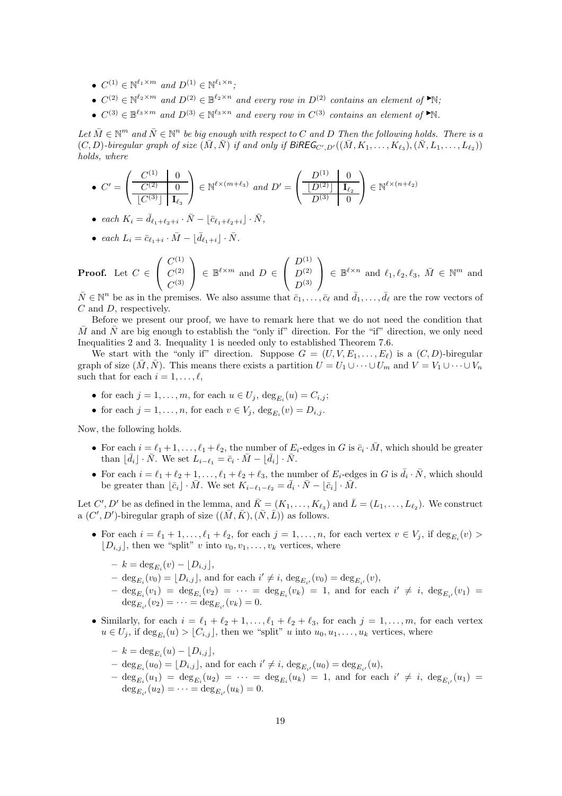- $C^{(1)} \in \mathbb{N}^{\ell_1 \times m}$  and  $D^{(1)} \in \mathbb{N}^{\ell_1 \times n}$ ;
- $C^{(2)} \in \mathbb{N}^{\ell_2 \times m}$  and  $D^{(2)} \in \mathbb{B}^{\ell_2 \times n}$  and every row in  $D^{(2)}$  contains an element of  $\blacktriangleright \mathbb{N}$ ;
- $C^{(3)} \in \mathbb{B}^{\ell_3 \times m}$  and  $D^{(3)} \in \mathbb{N}^{\ell_3 \times n}$  and every row in  $C^{(3)}$  contains an element of  $\blacktriangleright \mathbb{N}$ .

 $Let\ \overline{M}\in\mathbb{N}^m$  and  $\overline{N}\in\mathbb{N}^n$  be big enough with respect to C and D Then the following holds. There is a  $(C, D)$ -biregular graph of size  $(\overline{M}, \overline{N})$  if and only if BIREG<sub>C', D'</sub> $((\overline{M}, K_1, \ldots, K_{\ell_3}), (\overline{N}, L_1, \ldots, L_{\ell_2}))$ *holds, where*

- $\bullet \, C' =$  $\sqrt{ }$  $\mathcal{L}$  $C^{(1)}$  0  $C^{(2)}$  0  $\lfloor C^{(3)} \rfloor \mid {\bf I}_{\ell_3}$  $\setminus$  $\Big\} \in \mathbb{N}^{\ell \times (m+\ell_3)}$  and  $D' =$  $\sqrt{ }$  $\mathcal{L}$  $D^{(1)}$  0  $\lfloor D^{(2)} \rfloor \mid {\bf I}_{\ell_2}$  $D^{(3)}$  0  $\setminus$  $\Big\} \in \mathbb{N}^{\ell \times (n+\ell_2)}$
- *each*  $K_i = \bar{d}_{\ell_1 + \ell_2 + i} \cdot \bar{N} \lfloor \bar{c}_{\ell_1 + \ell_2 + i} \rfloor \cdot \bar{N}$ ,

• each 
$$
L_i = \bar{c}_{\ell_1+i} \cdot \bar{M} - \lfloor \bar{d}_{\ell_1+i} \rfloor \cdot \bar{N}
$$
.

**Proof.** Let  $C \in$  $\sqrt{ }$  $\mathcal{L}$  $C^{(1)}$  $C^{(2)}$  $C^{(3)}$  $\setminus$  $\Big\} \in \mathbb{B}^{\ell \times m}$  and  $D \in$  $\sqrt{ }$  $\overline{1}$  $D^{(1)}$  $D^{(2)}$  $D^{(3)}$  $\setminus$  $\Big\} \in \mathbb{B}^{\ell \times n}$  and  $\ell_1, \ell_2, \ell_3, \ \bar{M} \in \mathbb{N}^m$  and

 $\bar{N} \in \mathbb{N}^n$  be as in the premises. We also assume that  $\bar{c}_1, \ldots, \bar{c}_{\ell}$  and  $\bar{d}_1, \ldots, \bar{d}_{\ell}$  are the row vectors of C and D, respectively.

Before we present our proof, we have to remark here that we do not need the condition that M and N are big enough to establish the "only if" direction. For the "if" direction, we only need Inequalities 2 and 3. Inequality 1 is needed only to established Theorem 7.6.

We start with the "only if" direction. Suppose  $G = (U, V, E_1, \ldots, E_\ell)$  is a  $(C, D)$ -biregular graph of size  $(\overline{M}, \overline{N})$ . This means there exists a partition  $U = U_1 \cup \cdots \cup U_m$  and  $V = V_1 \cup \cdots \cup V_n$ such that for each  $i = 1, \ldots, \ell$ ,

- for each  $j = 1, \ldots, m$ , for each  $u \in U_j$ ,  $\deg_{E_i}(u) = C_{i,j}$ ;
- for each  $j = 1, \ldots, n$ , for each  $v \in V_j$ ,  $\deg_{E_i}(v) = D_{i,j}$ .

Now, the following holds.

- For each  $i = \ell_1 + 1, \ldots, \ell_1 + \ell_2$ , the number of  $E_i$ -edges in G is  $\bar{c}_i \cdot \bar{M}$ , which should be greater than  $\lfloor \bar{d}_i \rfloor \cdot \bar{N}$ . We set  $L_{i-\ell_1} = \bar{c}_i \cdot \bar{M} - \lfloor \bar{d}_i \rfloor \cdot \bar{N}$ .
- For each  $i = \ell_1 + \ell_2 + 1, \ldots, \ell_1 + \ell_2 + \ell_3$ , the number of  $E_i$ -edges in G is  $\bar{d}_i \cdot \bar{N}$ , which should be greater than  $\lfloor \bar{c}_i \rfloor \cdot \bar{M}$ . We set  $K_{i-\ell_1-\ell_2} = \bar{d}_i \cdot \bar{N} - \lfloor \bar{c}_i \rfloor \cdot \bar{M}$ .

Let C', D' be as defined in the lemma, and  $\bar{K} = (K_1, \ldots, K_{\ell_3})$  and  $\bar{L} = (L_1, \ldots, L_{\ell_2})$ . We construct a  $(C', D')$ -biregular graph of size  $((\bar{M}, \bar{K}), (\bar{N}, \bar{L}))$  as follows.

- For each  $i = \ell_1 + 1, \ldots, \ell_1 + \ell_2$ , for each  $j = 1, \ldots, n$ , for each vertex  $v \in V_j$ , if  $\deg_{E_i}(v)$  $[D_{i,j}]$ , then we "split" v into  $v_0, v_1, \ldots, v_k$  vertices, where
	- $k = \deg_{E_i}(v) \lfloor D_{i,j} \rfloor,$
	- $-\deg_{E_i}(v_0) = \lfloor D_{i,j} \rfloor$ , and for each  $i' \neq i$ ,  $\deg_{E_{i'}}(v_0) = \deg_{E_{i'}}(v)$ ,
	- $-\deg_{E_i}(v_1) = \deg_{E_i}(v_2) = \cdots = \deg_{E_i}(v_k) = 1$ , and for each  $i' \neq i$ ,  $\deg_{E_{i'}}(v_1) =$  $\deg_{E_{i'}}(v_2) = \cdots = \deg_{E_{i'}}(v_k) = 0.$
- Similarly, for each  $i = \ell_1 + \ell_2 + 1, \ldots, \ell_1 + \ell_2 + \ell_3$ , for each  $j = 1, \ldots, m$ , for each vertex  $u \in U_j$ , if  $\deg_{E_i}(u) > \lfloor C_{i,j} \rfloor$ , then we "split" u into  $u_0, u_1, \ldots, u_k$  vertices, where
	- $k = \deg_{E_i}(u) \lfloor D_{i,j} \rfloor,$
	- $-\deg_{E_i}(u_0) = \lfloor D_{i,j} \rfloor$ , and for each  $i' \neq i$ ,  $\deg_{E_{i'}}(u_0) = \deg_{E_{i'}}(u)$ ,
	- $-\deg_{E_i}(u_1) = \deg_{E_i}(u_2) = \cdots = \deg_{E_i}(u_k) = 1$ , and for each  $i' \neq i$ ,  $\deg_{E_{i'}}(u_1) =$  $\deg_{E_{i'}}(u_2) = \cdots = \deg_{E_{i'}}(u_k) = 0.$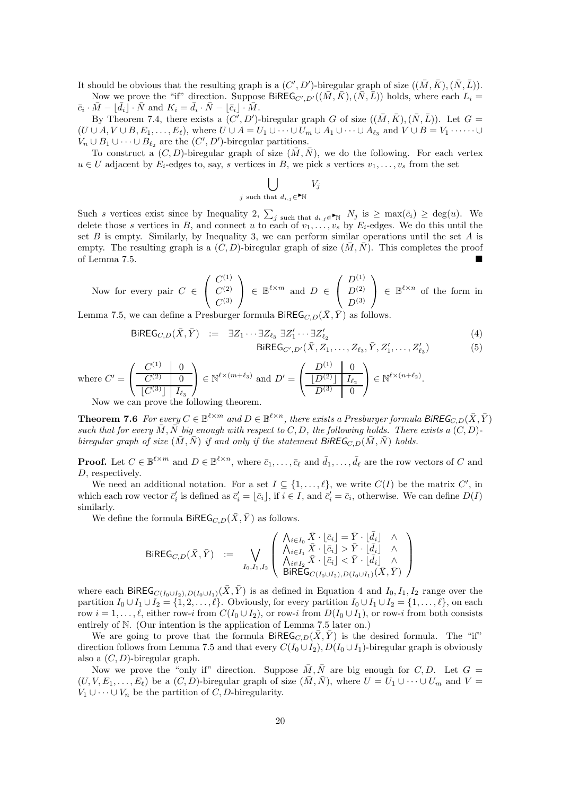It should be obvious that the resulting graph is a  $(C', D')$ -biregular graph of size  $((\bar{M}, \bar{K}), (\bar{N}, \bar{L}))$ .

Now we prove the "if" direction. Suppose  $\widehat{\mathsf{BiREG}_{C',D'}((M,\bar{K}),(\bar{N},\bar{L}))}$  holds, where each  $L_i =$  $\overline{c}_i \cdot \overline{M} - \lfloor \overline{d}_i \rfloor \cdot \overline{N}$  and  $K_i = \overline{d}_i \cdot \overline{N} - \lfloor \overline{c}_i \rfloor \cdot \overline{M}$ .

By Theorem 7.4, there exists a  $(C^i, D')$ -biregular graph G of size  $((\bar{M}, \bar{K}), (\bar{N}, \bar{L}))$ . Let  $G =$  $(U \cup A, V \cup B, E_1, \ldots, E_\ell)$ , where  $U \cup A = U_1 \cup \cdots \cup U_m \cup A_1 \cup \cdots \cup A_{\ell_3}$  and  $V \cup B = V_1 \cdot \cdots \cdot \cup$  $V_n \cup B_1 \cup \cdots \cup B_{\ell_2}$  are the  $(C', D')$ -biregular partitions.

To construct a  $(C, D)$ -biregular graph of size  $(\overline{M}, \overline{N})$ , we do the following. For each vertex  $u \in U$  adjacent by  $E_i$ -edges to, say, s vertices in B, we pick s vertices  $v_1, \ldots, v_s$  from the set

$$
\bigcup_{j \text{ such that } d_{i,j} \in \mathbb{N}} V_j
$$

Such s vertices exist since by Inequality 2,  $\sum_{j \text{ such that } d_{i,j} \in \mathbb{N}} N_j$  is  $\geq \max(\bar{c}_i) \geq \deg(u)$ . We delete those s vertices in B, and connect u to each of  $v_1, \ldots, v_s$  by  $E_i$ -edges. We do this until the set B is empty. Similarly, by Inequality 3, we can perform similar operations until the set A is empty. The resulting graph is a  $(C, D)$ -biregular graph of size  $(\overline{M}, \overline{N})$ . This completes the proof of Lemma 7.5.

Now for every pair 
$$
C \in \begin{pmatrix} C^{(1)} \\ C^{(2)} \\ C^{(3)} \end{pmatrix} \in \mathbb{B}^{\ell \times m}
$$
 and  $D \in \begin{pmatrix} D^{(1)} \\ D^{(2)} \\ D^{(3)} \end{pmatrix} \in \mathbb{B}^{\ell \times n}$  of the form in

Lemma 7.5, we can define a Presburger formula BiREG<sub>C,D</sub> $(X, \overline{Y})$  as follows.

$$
\begin{array}{rcl}\n\mathsf{BiREG}_{C,D}(\bar{X}, \bar{Y}) & := & \exists Z_1 \cdots \exists Z_{\ell_3} \ \exists Z'_1 \cdots \exists Z'_{\ell_2} \\
& \qquad \qquad \mathsf{BiREG}_{C',D'}(\bar{X}, Z_1, \ldots, Z_{\ell_3}, \bar{Y}, Z'_1, \ldots, Z'_{\ell_3})\n\end{array} \tag{4}
$$

.

where 
$$
C' = \left( \frac{C^{(1)} \quad 0}{\left| C^{(2)} \right|} \right) \in \mathbb{N}^{\ell \times (m+\ell_3)}
$$
 and  $D' = \left( \frac{D^{(1)} \quad 0}{\left| D^{(2)} \right|} \frac{1}{I_{\ell_2}} \right) \in \mathbb{N}^{\ell \times (n+\ell_2)}$ 

Now we can prove the following theorem.

**Theorem 7.6** For every  $C \in \mathbb{B}^{\ell \times m}$  and  $D \in \mathbb{B}^{\ell \times n}$ , there exists a Presburger formula BiREG<sub>C,D</sub> $(\bar{X}, \bar{Y})$ *such that for every*  $\overline{M}, \overline{N}$  *big enough with respect to*  $C, D$ *, the following holds. There exists a*  $(C, D)$ *biregular graph of size*  $(\overline{M}, \overline{N})$  *if and only if the statement* BiREG<sub>C,D</sub>( $(\overline{M}, \overline{N})$  *holds.* 

**Proof.** Let  $C \in \mathbb{B}^{\ell \times m}$  and  $D \in \mathbb{B}^{\ell \times n}$ , where  $\bar{c}_1, \ldots, \bar{c}_{\ell}$  and  $\bar{d}_1, \ldots, \bar{d}_{\ell}$  are the row vectors of C and D, respectively.

We need an additional notation. For a set  $I \subseteq \{1, \ldots, \ell\}$ , we write  $C(I)$  be the matrix  $C'$ , in which each row vector  $\vec{c}'_i$  is defined as  $\vec{c}'_i = \lfloor \bar{c}_i \rfloor$ , if  $i \in I$ , and  $\vec{c}'_i = \bar{c}_i$ , otherwise. We can define  $D(I)$ similarly.

We define the formula BiREG<sub>C,D</sub> $(\bar{X}, \bar{Y})$  as follows.

$$
\text{BiREG}_{C,D}(\bar{X}, \bar{Y}) \ := \ \bigvee_{I_0, I_1, I_2} \left( \begin{array}{c} \bigwedge_{i \in I_0} \bar{X} \cdot \lfloor \bar{c}_i \rfloor = \bar{Y} \cdot \lfloor \bar{d}_i \rfloor & \wedge \\ \bigwedge_{i \in I_1} \bar{X} \cdot \lfloor \bar{c}_i \rfloor > \bar{Y} \cdot \lfloor \bar{d}_i \rfloor & \wedge \\ \bigwedge_{i \in I_2} \bar{X} \cdot \lfloor \bar{c}_i \rfloor < \bar{Y} \cdot \lfloor \bar{d}_i \rfloor & \wedge \\ \text{BiREG}_{C(I_0 \cup I_2), D(I_0 \cup I_1)}(\bar{X}, \bar{Y}) \end{array} \right)
$$

where each BiREG<sub>C(I<sub>0</sub>∪I<sub>2</sub>),D(I<sub>0</sub>∪I<sub>1</sub>)( $\overline{X}$ ,  $\overline{Y}$ ) is as defined in Equation 4 and I<sub>0</sub>, I<sub>1</sub>, I<sub>2</sub> range over the</sub> partition  $I_0 \cup I_1 \cup I_2 = \{1, 2, \ldots, \ell\}$ . Obviously, for every partition  $I_0 \cup I_1 \cup I_2 = \{1, \ldots, \ell\}$ , on each row  $i = 1, \ldots, \ell$ , either row-i from  $C(I_0 \cup I_2)$ , or row-i from  $D(I_0 \cup I_1)$ , or row-i from both consists entirely of N. (Our intention is the application of Lemma 7.5 later on.)

We are going to prove that the formula BiREG<sub>C,D</sub> $(\overline{X}, \overline{Y})$  is the desired formula. The "if" direction follows from Lemma 7.5 and that every  $C(I_0 \cup I_2)$ ,  $D(I_0 \cup I_1)$ -biregular graph is obviously also a  $(C, D)$ -biregular graph.

Now we prove the "only if" direction. Suppose  $\overline{M}, \overline{N}$  are big enough for C, D. Let  $G =$  $(U, V, E_1, \ldots, E_\ell)$  be a  $(C, D)$ -biregular graph of size  $(\overline{M}, \overline{N})$ , where  $U = U_1 \cup \cdots \cup U_m$  and  $V =$  $V_1 \cup \cdots \cup V_n$  be the partition of C, D-biregularity.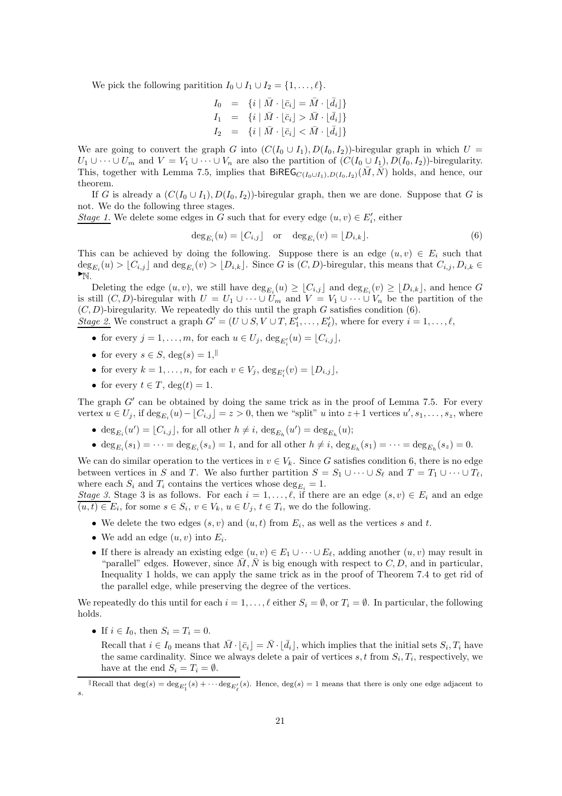We pick the following paritition  $I_0 \cup I_1 \cup I_2 = \{1, \ldots, \ell\}.$ 

$$
I_0 = \{i \mid \bar{M} \cdot \lfloor \bar{c}_i \rfloor = \bar{M} \cdot \lfloor \bar{d}_i \rfloor\}
$$
  
\n
$$
I_1 = \{i \mid \bar{M} \cdot \lfloor \bar{c}_i \rfloor > \bar{M} \cdot \lfloor \bar{d}_i \rfloor\}
$$
  
\n
$$
I_2 = \{i \mid \bar{M} \cdot \lfloor \bar{c}_i \rfloor < \bar{M} \cdot \lfloor \bar{d}_i \rfloor\}
$$

We are going to convert the graph G into  $(C(I_0 \cup I_1), D(I_0, I_2))$ -biregular graph in which  $U =$  $U_1 \cup \cdots \cup U_m$  and  $V = V_1 \cup \cdots \cup V_n$  are also the partition of  $(C(I_0 \cup I_1), D(I_0, I_2))$ -biregularity. This, together with Lemma 7.5, implies that  $BiREG_{C(I_0\cup I_1),D(I_0,I_2)}(\bar{M},\bar{N})$  holds, and hence, our theorem.

If G is already a  $(C(I_0 \cup I_1), D(I_0, I_2))$ -biregular graph, then we are done. Suppose that G is not. We do the following three stages.

*Stage 1*. We delete some edges in G such that for every edge  $(u, v) \in E'_{i}$ , either

$$
\deg_{E_i}(u) = \lfloor C_{i,j} \rfloor \quad \text{or} \quad \deg_{E_i}(v) = \lfloor D_{i,k} \rfloor. \tag{6}
$$

This can be achieved by doing the following. Suppose there is an edge  $(u, v) \in E_i$  such that  $\deg_{E_i}(u) > \lfloor C_{i,j} \rfloor$  and  $\deg_{E_i}(v) > \lfloor D_{i,k} \rfloor$ . Since G is  $(C, D)$ -biregular, this means that  $C_{i,j}, D_{i,k} \in$  $\blacktriangleright_{\mathbb{N}}$ .

Deleting the edge  $(u, v)$ , we still have  $\deg_{E_i}(u) \geq \lfloor C_{i,j} \rfloor$  and  $\deg_{E_i}(v) \geq \lfloor D_{i,k} \rfloor$ , and hence  $G$ is still  $(C, D)$ -biregular with  $U = U_1 \cup \cdots \cup U_m$  and  $V = V_1 \cup \cdots \cup V_n$  be the partition of the  $(C, D)$ -biregularity. We repeatedly do this until the graph G satisfies condition (6). *Stage 2*. We construct a graph  $G' = (U \cup S, V \cup T, E'_1, \ldots, E'_\ell)$ , where for every  $i = 1, \ldots, \ell$ ,

- for every  $j = 1, \ldots, m$ , for each  $u \in U_j$ ,  $\deg_{E'_i}(u) = \lfloor C_{i,j} \rfloor$ ,
- for every  $s \in S$ ,  $deg(s) = 1$ ,
- for every  $k = 1, ..., n$ , for each  $v \in V_j$ ,  $\deg_{E'_i}(v) = \lfloor D_{i,j} \rfloor$ ,
- for every  $t \in T$ ,  $\deg(t) = 1$ .

The graph  $G'$  can be obtained by doing the same trick as in the proof of Lemma 7.5. For every vertex  $u \in U_j$ , if  $\deg_{E_i}(u) - \lfloor C_{i,j} \rfloor = z > 0$ , then we "split" u into  $z+1$  vertices  $u', s_1, \ldots, s_z$ , where

- $\deg_{E_i}(u') = \lfloor C_{i,j} \rfloor$ , for all other  $h \neq i$ ,  $\deg_{E_h}(u') = \deg_{E_h}(u)$ ;
- $\deg_{E_i}(s_1) = \cdots = \deg_{E_i}(s_z) = 1$ , and for all other  $h \neq i$ ,  $\deg_{E_h}(s_1) = \cdots = \deg_{E_h}(s_z) = 0$ .

We can do similar operation to the vertices in  $v \in V_k$ . Since G satisfies condition 6, there is no edge between vertices in S and T. We also further partition  $S = S_1 \cup \cdots \cup S_\ell$  and  $T = T_1 \cup \cdots \cup T_\ell$ , where each  $S_i$  and  $T_i$  contains the vertices whose  $\deg_{E_i} = 1$ .

*Stage 3.* Stage 3 is as follows. For each  $i = 1, ..., \ell$ , if there are an edge  $(s, v) \in E_i$  and an edge  $(u, t) \in E_i$ , for some  $s \in S_i$ ,  $v \in V_k$ ,  $u \in U_j$ ,  $t \in T_i$ , we do the following.

- We delete the two edges  $(s, v)$  and  $(u, t)$  from  $E_i$ , as well as the vertices s and t.
- We add an edge  $(u, v)$  into  $E_i$ .
- If there is already an existing edge  $(u, v) \in E_1 \cup \cdots \cup E_{\ell}$ , adding another  $(u, v)$  may result in "parallel" edges. However, since  $\overline{M}, \overline{N}$  is big enough with respect to  $C, D$ , and in particular, Inequality 1 holds, we can apply the same trick as in the proof of Theorem 7.4 to get rid of the parallel edge, while preserving the degree of the vertices.

We repeatedly do this until for each  $i = 1, \ldots, \ell$  either  $S_i = \emptyset$ , or  $T_i = \emptyset$ . In particular, the following holds.

- If  $i \in I_0$ , then  $S_i = T_i = 0$ .
	- Recall that  $i \in I_0$  means that  $\overline{M} \cdot [\overline{c}_i] = \overline{N} \cdot [\overline{d}_i]$ , which implies that the initial sets  $S_i, T_i$  have the same cardinality. Since we always delete a pair of vertices  $s, t$  from  $S_i, T_i$ , respectively, we have at the end  $S_i = T_i = \emptyset$ .

Recall that  $\deg(s) = \deg_{E'_1}(s) + \cdots \deg_{E'_{\ell}}(s)$ . Hence,  $\deg(s) = 1$  means that there is only one edge adjacent to s.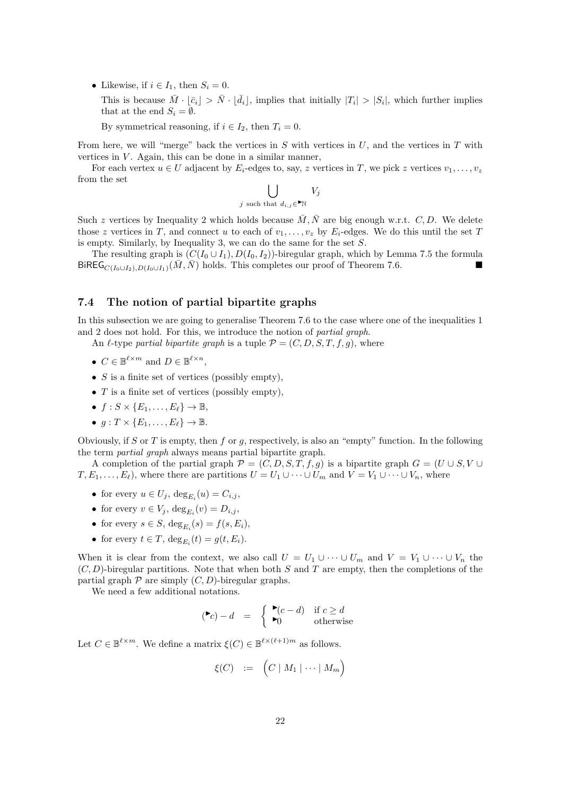• Likewise, if  $i \in I_1$ , then  $S_i = 0$ .

This is because  $\bar{M} \cdot [\bar{c}_i] > \bar{N} \cdot [\bar{d}_i]$ , implies that initially  $|T_i| > |S_i|$ , which further implies that at the end  $S_i = \emptyset$ .

By symmetrical reasoning, if  $i \in I_2$ , then  $T_i = 0$ .

From here, we will "merge" back the vertices in  $S$  with vertices in  $U$ , and the vertices in  $T$  with vertices in  $V$ . Again, this can be done in a similar manner,

For each vertex  $u \in U$  adjacent by  $E_i$ -edges to, say, z vertices in T, we pick z vertices  $v_1, \ldots, v_z$ from the set

> $\mathsf{L}$ j such that  $d_{i,j} \in \mathbb{R}$  $V_j$

Such z vertices by Inequality 2 which holds because  $\overline{M}$ ,  $\overline{N}$  are big enough w.r.t. C, D. We delete those z vertices in T, and connect u to each of  $v_1, \ldots, v_z$  by  $E_i$ -edges. We do this until the set T is empty. Similarly, by Inequality 3, we can do the same for the set S.

The resulting graph is  $(C(I_0 \cup I_1), D(I_0, I_2))$ -biregular graph, which by Lemma 7.5 the formula BiREG<sub>C(I0∪I2</sub>), $D(I_0 \cup I_1)$ ( $\overline{M}, \overline{N}$ ) holds. This completes our proof of Theorem 7.6.

#### 7.4 The notion of partial bipartite graphs

In this subsection we are going to generalise Theorem 7.6 to the case where one of the inequalities 1 and 2 does not hold. For this, we introduce the notion of *partial graph*.

An  $\ell$ -type *partial bipartite graph* is a tuple  $\mathcal{P} = (C, D, S, T, f, q)$ , where

- $C \in \mathbb{B}^{\ell \times m}$  and  $D \in \mathbb{B}^{\ell \times n}$ ,
- $S$  is a finite set of vertices (possibly empty),
- $T$  is a finite set of vertices (possibly empty),
- $f: S \times \{E_1, \ldots, E_\ell\} \to \mathbb{B}$ ,
- $q: T \times \{E_1, \ldots, E_\ell\} \to \mathbb{B}.$

Obviously, if S or T is empty, then f or g, respectively, is also an "empty" function. In the following the term *partial graph* always means partial bipartite graph.

A completion of the partial graph  $\mathcal{P} = (C, D, S, T, f, q)$  is a bipartite graph  $G = (U \cup S, V \cup T)$  $T, E_1, \ldots, E_\ell$ , where there are partitions  $U = U_1 \cup \cdots \cup U_m$  and  $V = V_1 \cup \cdots \cup V_n$ , where

- for every  $u \in U_j$ ,  $\deg_{E_i}(u) = C_{i,j}$ ,
- for every  $v \in V_j$ ,  $\deg_{E_i}(v) = D_{i,j}$ ,
- for every  $s \in S$ ,  $\deg_{E_i}(s) = f(s, E_i)$ ,
- for every  $t \in T$ ,  $\deg_{E_i}(t) = g(t, E_i)$ .

When it is clear from the context, we also call  $U = U_1 \cup \cdots \cup U_m$  and  $V = V_1 \cup \cdots \cup V_n$  the  $(C, D)$ -biregular partitions. Note that when both S and T are empty, then the completions of the partial graph  $P$  are simply  $(C, D)$ -biregular graphs.

We need a few additional notations.

$$
(\blacktriangleright c) - d = \begin{cases} \blacktriangleright (c - d) & \text{if } c \ge d \\ \blacktriangleright 0 & \text{otherwise} \end{cases}
$$

Let  $C \in \mathbb{B}^{\ell \times m}$ . We define a matrix  $\xi(C) \in \mathbb{B}^{\ell \times (\ell+1)m}$  as follows.

$$
\xi(C) := (C \mid M_1 \mid \cdots \mid M_m)
$$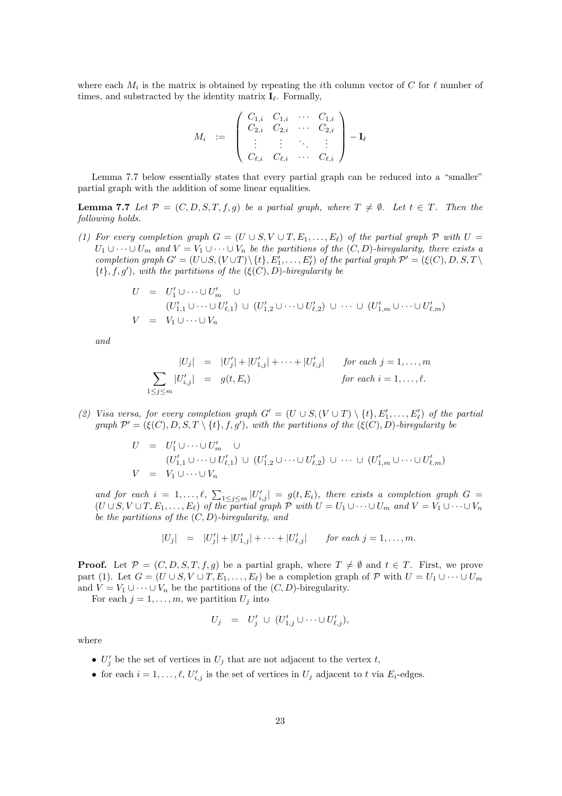where each  $M_i$  is the matrix is obtained by repeating the *i*th column vector of C for  $\ell$  number of times, and substracted by the identity matrix  $\mathbf{I}_{\ell}$ . Formally,

$$
M_i = \left( \begin{array}{cccc} C_{1,i} & C_{1,i} & \cdots & C_{1,i} \\ C_{2,i} & C_{2,i} & \cdots & C_{2,i} \\ \vdots & \vdots & \ddots & \vdots \\ C_{\ell,i} & C_{\ell,i} & \cdots & C_{\ell,i} \end{array} \right) - \mathbf{I}_{\ell}
$$

Lemma 7.7 below essentially states that every partial graph can be reduced into a "smaller" partial graph with the addition of some linear equalities.

**Lemma 7.7** Let  $\mathcal{P} = (C, D, S, T, f, g)$  be a partial graph, where  $T \neq \emptyset$ . Let  $t \in T$ . Then the *following holds.*

*(1) For every completion graph*  $G = (U \cup S, V \cup T, E_1, \ldots, E_\ell)$  *of the partial graph*  $P$  *with*  $U =$  $U_1 \cup \cdots \cup U_m$  and  $V = V_1 \cup \cdots \cup V_n$  be the partitions of the  $(C, D)$ -biregularity, there exists a *completion graph*  $G' = (U \cup S, (V \cup T) \setminus \{t\}, E'_1, \ldots, E'_\ell)$  *of the partial graph*  $\mathcal{P}' = (\xi(C), D, S, T \setminus \mathcal{P}')$  $\{t\}, f, g'$ , with the partitions of the  $(\xi(C), D)$ *-biregularity be* 

$$
U = U'_1 \cup \cdots \cup U'_m \cup
$$
  
\n
$$
(U'_{1,1} \cup \cdots \cup U'_{\ell,1}) \cup (U'_{1,2} \cup \cdots \cup U'_{\ell,2}) \cup \cdots \cup (U'_{1,m} \cup \cdots \cup U'_{\ell,m})
$$
  
\n
$$
V = V_1 \cup \cdots \cup V_n
$$

*and*

$$
|U_j| = |U'_j| + |U'_{1,j}| + \cdots + |U'_{\ell,j}| \quad \text{for each } j = 1, \ldots, m
$$
  

$$
\sum_{1 \le j \le m} |U'_{i,j}| = g(t, E_i) \quad \text{for each } i = 1, \ldots, \ell.
$$

(2) Visa versa, for every completion graph  $G' = (U \cup S, (V \cup T) \setminus \{t\}, E'_1, \ldots, E'_\ell)$  of the partial *graph*  $\mathcal{P}' = (\xi(C), D, S, T \setminus \{t\}, f, g')$ , with the partitions of the  $(\xi(C), D)$ *-biregularity be* 

$$
U = U'_1 \cup \cdots \cup U'_m \cup
$$
  
\n
$$
(U'_{1,1} \cup \cdots \cup U'_{\ell,1}) \cup (U'_{1,2} \cup \cdots \cup U'_{\ell,2}) \cup \cdots \cup (U'_{1,m} \cup \cdots \cup U'_{\ell,m})
$$
  
\n
$$
V = V_1 \cup \cdots \cup V_n
$$

and for each  $i = 1, \ldots, \ell$ ,  $\sum_{1 \leq j \leq m} |U'_{i,j}| = g(t, E_i)$ , there exists a completion graph  $G =$  $(U \cup S, V \cup T, E_1, \ldots, E_\ell)$  *of the partial graph*  $\mathcal P$  *with*  $U = U_1 \cup \cdots \cup U_m$  *and*  $V = V_1 \cup \cdots \cup V_n$ *be the partitions of the* (C, D)*-biregularity, and*

$$
|U_j| = |U'_j| + |U'_{1,j}| + \cdots + |U'_{\ell,j}| \quad \text{for each } j = 1, \ldots, m.
$$

**Proof.** Let  $\mathcal{P} = (C, D, S, T, f, g)$  be a partial graph, where  $T \neq \emptyset$  and  $t \in T$ . First, we prove part (1). Let  $G = (U \cup S, V \cup T, E_1, \ldots, E_\ell)$  be a completion graph of  $P$  with  $U = U_1 \cup \cdots \cup U_m$ and  $V = V_1 \cup \cdots \cup V_n$  be the partitions of the  $(C, D)$ -biregularity.

For each  $j = 1, \ldots, m$ , we partition  $U_j$  into

$$
U_j = U'_j \cup (U'_{1,j} \cup \cdots \cup U'_{\ell,j}),
$$

where

- $U'_j$  be the set of vertices in  $U_j$  that are not adjacent to the vertex t,
- for each  $i = 1, \ldots, \ell, U'_{i,j}$  is the set of vertices in  $U_j$  adjacent to t via  $E_i$ -edges.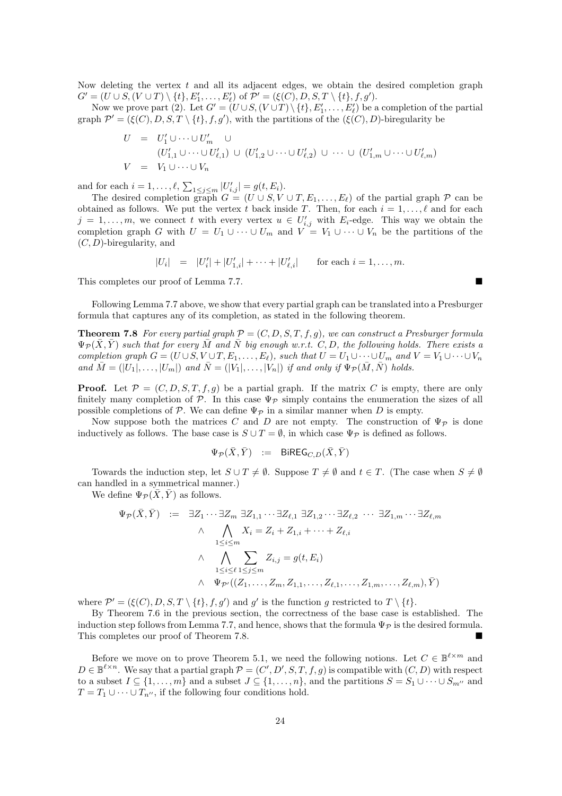Now deleting the vertex  $t$  and all its adjacent edges, we obtain the desired completion graph  $G' = (U \cup S, (V \cup T) \setminus \{t\}, E'_1, \dots, E'_\ell) \text{ of } \mathcal{P}' = (\xi(C), D, S, T \setminus \{t\}, f, g').$ 

Now we prove part (2). Let  $G' = (U \cup S, (V \cup T) \setminus \{t\}, E'_1, \ldots, E'_\ell)$  be a completion of the partial graph  $\mathcal{P}' = (\xi(C), D, S, T \setminus \{t\}, f, g')$ , with the partitions of the  $(\xi(C), D)$ -biregularity be

$$
U = U'_1 \cup \cdots \cup U'_m \cup
$$
  
\n
$$
(U'_{1,1} \cup \cdots \cup U'_{\ell,1}) \cup (U'_{1,2} \cup \cdots \cup U'_{\ell,2}) \cup \cdots \cup (U'_{1,m} \cup \cdots \cup U'_{\ell,m})
$$
  
\n
$$
V = V_1 \cup \cdots \cup V_n
$$

and for each  $i = 1, ..., \ell$ ,  $\sum_{1 \le j \le m} |U'_{i,j}| = g(t, E_i)$ .

The desired completion graph  $G = (U \cup S, V \cup T, E_1, \ldots, E_\ell)$  of the partial graph  $P$  can be obtained as follows. We put the vertex t back inside T. Then, for each  $i = 1, \ldots, \ell$  and for each  $j = 1, \ldots, m$ , we connect t with every vertex  $u \in U'_{i,j}$  with  $E_i$ -edge. This way we obtain the completion graph G with  $U = U_1 \cup \cdots \cup U_m$  and  $V = V_1 \cup \cdots \cup V_n$  be the partitions of the  $(C, D)$ -biregularity, and

$$
|U_i| = |U'_i| + |U'_{1,i}| + \cdots + |U'_{\ell,i}|
$$
 for each  $i = 1, ..., m$ .

This completes our proof of Lemma 7.7.

Following Lemma 7.7 above, we show that every partial graph can be translated into a Presburger formula that captures any of its completion, as stated in the following theorem.

**Theorem 7.8** For every partial graph  $\mathcal{P} = (C, D, S, T, f, g)$ , we can construct a Presburger formula  $\Psi_{\mathcal{P}}(\bar{X}, \bar{Y})$  such that for every  $\bar{M}$  and  $\bar{N}$  big enough w.r.t. C, D, the following holds. There exists a *completion graph*  $G = (U \cup S, V \cup T, E_1, \ldots, E_\ell)$ *, such that*  $U = U_1 \cup \cdots \cup U_m$  *and*  $V = V_1 \cup \cdots \cup V_n$ *and*  $\overline{M} = (|U_1|, \ldots, |U_m|)$  *and*  $\overline{N} = (|V_1|, \ldots, |V_n|)$  *if and only if*  $\Psi_{\mathcal{P}}(\overline{M}, \overline{N})$  *holds.* 

**Proof.** Let  $P = (C, D, S, T, f, g)$  be a partial graph. If the matrix C is empty, there are only finitely many completion of P. In this case  $\Psi_{\mathcal{P}}$  simply contains the enumeration the sizes of all possible completions of P. We can define  $\Psi_{\mathcal{P}}$  in a similar manner when D is empty.

Now suppose both the matrices C and D are not empty. The construction of  $\Psi_{\mathcal{P}}$  is done inductively as follows. The base case is  $S \cup T = \emptyset$ , in which case  $\Psi_{\mathcal{P}}$  is defined as follows.

$$
\Psi_{\mathcal{P}}(\bar{X}, \bar{Y}) \ := \ \mathsf{BiREG}_{C,D}(\bar{X}, \bar{Y})
$$

Towards the induction step, let  $S \cup T \neq \emptyset$ . Suppose  $T \neq \emptyset$  and  $t \in T$ . (The case when  $S \neq \emptyset$ can handled in a symmetrical manner.)

We define  $\Psi_{\mathcal{P}}(\bar{X}, \bar{Y})$  as follows.

$$
\Psi_{\mathcal{P}}(\bar{X}, \bar{Y}) := \exists Z_1 \cdots \exists Z_m \exists Z_{1,1} \cdots \exists Z_{\ell,1} \exists Z_{1,2} \cdots \exists Z_{\ell,2} \cdots \exists Z_{1,m} \cdots \exists Z_{\ell,m}
$$
\n
$$
\wedge \bigwedge_{1 \leq i \leq m} X_i = Z_i + Z_{1,i} + \cdots + Z_{\ell,i}
$$
\n
$$
\wedge \bigwedge_{1 \leq i \leq \ell} \sum_{1 \leq j \leq m} Z_{i,j} = g(t, E_i)
$$
\n
$$
\wedge \Psi_{\mathcal{P}'}((Z_1, \ldots, Z_m, Z_{1,1}, \ldots, Z_{\ell,1}, \ldots, Z_{1,m}, \ldots, Z_{\ell,m}), \bar{Y})
$$

where  $\mathcal{P}' = (\xi(C), D, S, T \setminus \{t\}, f, g')$  and g' is the function g restricted to  $T \setminus \{t\}.$ 

By Theorem 7.6 in the previous section, the correctness of the base case is established. The induction step follows from Lemma 7.7, and hence, shows that the formula  $\Psi_{\mathcal{P}}$  is the desired formula. This completes our proof of Theorem 7.8.

Before we move on to prove Theorem 5.1, we need the following notions. Let  $C \in \mathbb{B}^{\ell \times m}$  and  $D \in \mathbb{B}^{\ell \times n}$ . We say that a partial graph  $\mathcal{P} = (C', D', S, T, f, g)$  is compatible with  $(C, D)$  with respect to a subset  $I \subseteq \{1, \ldots, m\}$  and a subset  $J \subseteq \{1, \ldots, n\}$ , and the partitions  $S = S_1 \cup \cdots \cup S_{m''}$  and  $T = T_1 \cup \cdots \cup T_{n''}$ , if the following four conditions hold.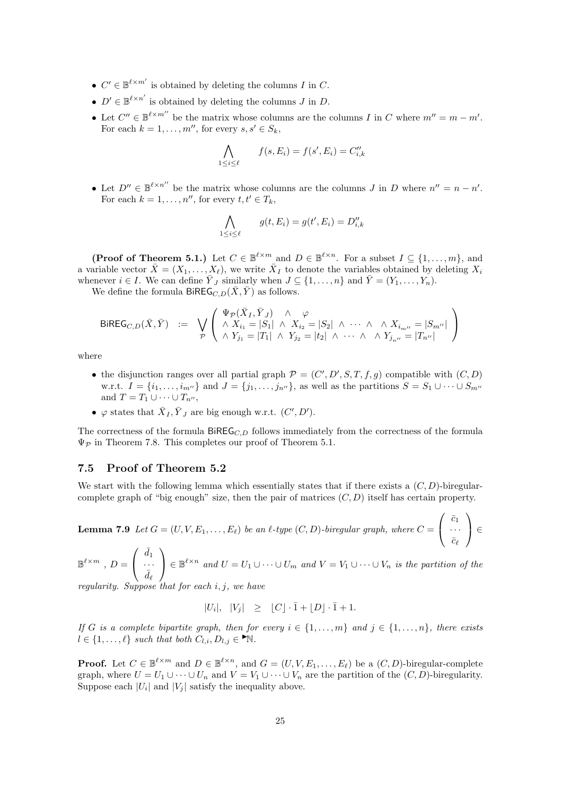- $C' \in \mathbb{B}^{\ell \times m'}$  is obtained by deleting the columns I in C.
- $D' \in \mathbb{B}^{\ell \times n'}$  is obtained by deleting the columns J in D.
- Let  $C'' \in \mathbb{B}^{\ell \times m''}$  be the matrix whose columns are the columns I in C where  $m'' = m m'$ . For each  $k = 1, \ldots, m''$ , for every  $s, s' \in S_k$ ,

$$
\bigwedge_{1 \le i \le \ell} f(s, E_i) = f(s', E_i) = C''_{i,k}
$$

• Let  $D'' \in \mathbb{B}^{\ell \times n''}$  be the matrix whose columns are the columns J in D where  $n'' = n - n'$ . For each  $k = 1, \ldots, n''$ , for every  $t, t' \in T_k$ ,

$$
\bigwedge_{1 \le i \le \ell} g(t, E_i) = g(t', E_i) = D_{i,k}''
$$

**(Proof of Theorem 5.1.)** Let  $C \in \mathbb{B}^{\ell \times m}$  and  $D \in \mathbb{B}^{\ell \times n}$ . For a subset  $I \subseteq \{1, ..., m\}$ , and a variable vector  $\bar{X} = (X_1, \ldots, X_\ell)$ , we write  $\bar{X}_I$  to denote the variables obtained by deleting  $X_i$ whenever  $i \in I$ . We can define  $\overline{Y}_J$  similarly when  $J \subseteq \{1, \ldots, n\}$  and  $\overline{Y} = (Y_1, \ldots, Y_n)$ .

We define the formula BiREG<sub>C,D</sub> $(\bar{X}, \bar{Y})$  as follows.

$$
\text{BiREG}_{C,D}(\bar{X}, \bar{Y}) \ := \ \bigvee_{\mathcal{P}} \left( \begin{array}{c} \Psi_{\mathcal{P}}(\bar{X}_I, \bar{Y}_J) \land \varphi \\ \land X_{i_1} = |S_1| \land X_{i_2} = |S_2| \land \cdots \land \land X_{i_{m''}} = |S_{m''}| \\ \land Y_{j_1} = |T_1| \land Y_{j_2} = |t_2| \land \cdots \land \land Y_{j_{n''}} = |T_{n''}| \end{array} \right)
$$

where

- the disjunction ranges over all partial graph  $\mathcal{P} = (C', D', S, T, f, g)$  compatible with  $(C, D)$ w.r.t.  $I = \{i_1, \ldots, i_{m''}\}\$ and  $J = \{j_1, \ldots, j_{n''}\}\$ , as well as the partitions  $S = S_1 \cup \cdots \cup S_{m''}\$ and  $T = T_1 \cup \cdots \cup T_{n''}$ ,
- $\varphi$  states that  $\bar{X}_I, \bar{Y}_J$  are big enough w.r.t.  $(C', D')$ .

The correctness of the formula  $BiREG_{C,D}$  follows immediately from the correctness of the formula  $\Psi_{\mathcal{P}}$  in Theorem 7.8. This completes our proof of Theorem 5.1.

#### 7.5 Proof of Theorem 5.2

We start with the following lemma which essentially states that if there exists a  $(C, D)$ -biregularcomplete graph of "big enough" size, then the pair of matrices  $(C, D)$  itself has certain property.

**Lemma 7.9** Let 
$$
G = (U, V, E_1, ..., E_\ell)
$$
 be an  $\ell$ -type  $(C, D)$ -biregular graph, where  $C = \begin{pmatrix} \bar{c}_1 \\ \cdots \\ \bar{c}_\ell \end{pmatrix} \in$ 

$$
\mathbb{B}^{\ell \times m} , D = \left( \begin{array}{c} \bar{d}_1 \\ \cdots \\ \bar{d}_\ell \end{array} \right) \in \mathbb{B}^{\ell \times n} \text{ and } U = U_1 \cup \cdots \cup U_m \text{ and } V = V_1 \cup \cdots \cup V_n \text{ is the partition of the}
$$

*regularity. Suppose that for each* i, j*, we have*

$$
|U_i|, |V_j| \ge |C| \cdot \bar{1} + \lfloor D \rfloor \cdot \bar{1} + 1.
$$

*If* G is a complete bipartite graph, then for every  $i \in \{1, \ldots, m\}$  and  $j \in \{1, \ldots, n\}$ , there exists  $l \in \{1, \ldots, \ell\}$  such that both  $C_{l,i}, D_{l,j} \in \mathbb{N}$ .

**Proof.** Let  $C \in \mathbb{B}^{\ell \times m}$  and  $D \in \mathbb{B}^{\ell \times n}$ , and  $G = (U, V, E_1, \ldots, E_{\ell})$  be a  $(C, D)$ -biregular-complete graph, where  $U = U_1 \cup \cdots \cup U_n$  and  $V = V_1 \cup \cdots \cup V_n$  are the partition of the  $(C, D)$ -biregularity. Suppose each  $|U_i|$  and  $|V_j|$  satisfy the inequality above.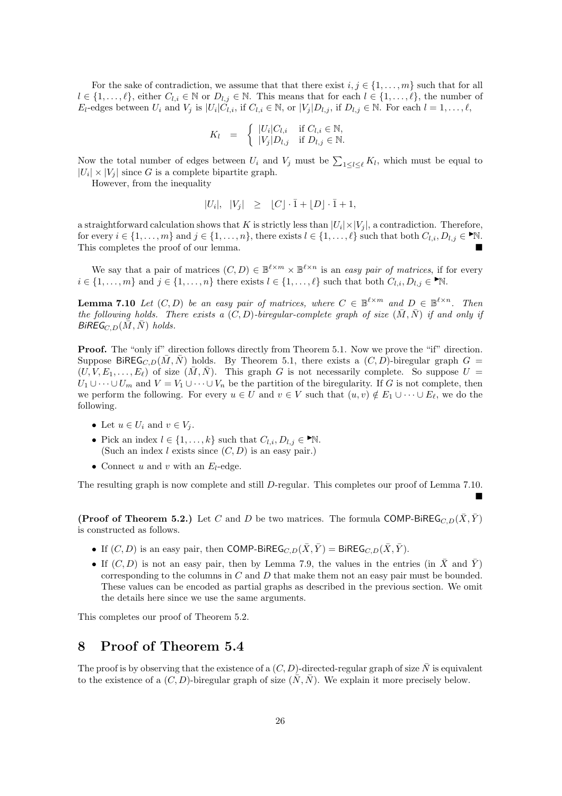For the sake of contradiction, we assume that that there exist  $i, j \in \{1, \ldots, m\}$  such that for all  $l \in \{1,\ldots,\ell\}$ , either  $C_{l,i} \in \mathbb{N}$  or  $D_{l,j} \in \mathbb{N}$ . This means that for each  $l \in \{1,\ldots,\ell\}$ , the number of  $E_l$ -edges between  $U_i$  and  $V_j$  is  $|U_i|\tilde{C}_{l,i}$ , if  $C_{l,i} \in \mathbb{N}$ , or  $|V_j|D_{l,j}$ , if  $D_{l,j} \in \mathbb{N}$ . For each  $l = 1, \ldots, l$ ,

$$
K_l = \begin{cases} |U_i| C_{l,i} & \text{if } C_{l,i} \in \mathbb{N}, \\ |V_j| D_{l,j} & \text{if } D_{l,j} \in \mathbb{N}. \end{cases}
$$

Now the total number of edges between  $U_i$  and  $V_j$  must be  $\sum_{1 \leq l \leq \ell} K_l$ , which must be equal to  $|U_i| \times |V_j|$  since G is a complete bipartite graph.

However, from the inequality

$$
|U_i|, |V_j| \ge |C| \cdot \bar{1} + |D| \cdot \bar{1} + 1,
$$

a straightforward calculation shows that K is strictly less than  $|U_i| \times |V_j|$ , a contradiction. Therefore, for every  $i \in \{1, \ldots, m\}$  and  $j \in \{1, \ldots, n\}$ , there exists  $l \in \{1, \ldots, \ell\}$  such that both  $C_{l,i}, D_{l,j} \in \mathbb{N}$ . This completes the proof of our lemma.

We say that a pair of matrices  $(C, D) \in \mathbb{B}^{\ell \times m} \times \mathbb{B}^{\ell \times n}$  is an *easy pair of matrices*, if for every  $i \in \{1, \ldots, m\}$  and  $j \in \{1, \ldots, n\}$  there exists  $l \in \{1, \ldots, \ell\}$  such that both  $C_{l,i}, D_{l,j} \in \mathbb{N}$ .

**Lemma 7.10** Let  $(C, D)$  be an easy pair of matrices, where  $C \in \mathbb{B}^{\ell \times m}$  and  $D \in \mathbb{B}^{\ell \times n}$ . Then *the following holds. There exists a*  $(C, D)$ *-biregular-complete graph of size*  $(\overline{M}, \overline{N})$  *if and only if*  $BiREG_{C,D}(\bar{M}, \bar{N})$  *holds.* 

Proof. The "only if" direction follows directly from Theorem 5.1. Now we prove the "if" direction. Suppose BiREG<sub>C,D</sub>( $\overline{M}, \overline{N}$ ) holds. By Theorem 5.1, there exists a  $(C, D)$ -biregular graph G =  $(U, V, E_1, \ldots, E_\ell)$  of size  $(\bar{M}, \bar{N})$ . This graph G is not necessarily complete. So suppose  $U =$  $U_1 \cup \cdots \cup U_m$  and  $V = V_1 \cup \cdots \cup V_n$  be the partition of the biregularity. If G is not complete, then we perform the following. For every  $u \in U$  and  $v \in V$  such that  $(u, v) \notin E_1 \cup \cdots \cup E_\ell$ , we do the following.

- Let  $u \in U_i$  and  $v \in V_i$ .
- Pick an index  $l \in \{1, ..., k\}$  such that  $C_{l,i}, D_{l,j} \in \mathbb{N}$ . (Such an index  $l$  exists since  $(C, D)$  is an easy pair.)
- Connect u and v with an  $E_l$ -edge.

The resulting graph is now complete and still D-regular. This completes our proof of Lemma 7.10.

 $\blacksquare$ 

(Proof of Theorem 5.2.) Let C and D be two matrices. The formula COMP-BIREG<sub>C,D</sub> $(\bar{X}, \bar{Y})$ is constructed as follows.

- If  $(C, D)$  is an easy pair, then COMP-BiREG $_{C,D}(\bar{X}, \bar{Y})$  = BiREG $_{C,D}(\bar{X}, \bar{Y})$ .
- If  $(C, D)$  is not an easy pair, then by Lemma 7.9, the values in the entries (in  $\bar{X}$  and  $\bar{Y}$ ) corresponding to the columns in  $C$  and  $D$  that make them not an easy pair must be bounded. These values can be encoded as partial graphs as described in the previous section. We omit the details here since we use the same arguments.

This completes our proof of Theorem 5.2.

### 8 Proof of Theorem 5.4

The proof is by observing that the existence of a  $(C, D)$ -directed-regular graph of size  $\overline{N}$  is equivalent to the existence of a  $(C, D)$ -biregular graph of size  $(\overline{N}, \overline{N})$ . We explain it more precisely below.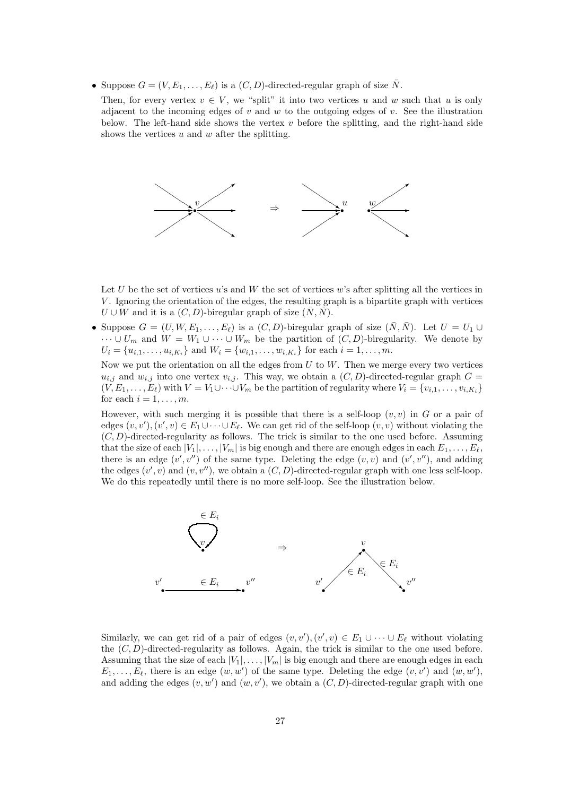- Suppose  $G = (V, E_1, \ldots, E_\ell)$  is a  $(C, D)$ -directed-regular graph of size  $\overline{N}$ .
	- Then, for every vertex  $v \in V$ , we "split" it into two vertices u and w such that u is only adjacent to the incoming edges of v and w to the outgoing edges of v. See the illustration below. The left-hand side shows the vertex  $v$  before the splitting, and the right-hand side shows the vertices  $u$  and  $w$  after the splitting.



Let U be the set of vertices u's and W the set of vertices w's after splitting all the vertices in V . Ignoring the orientation of the edges, the resulting graph is a bipartite graph with vertices  $U \cup W$  and it is a  $(C, D)$ -biregular graph of size  $(N, N)$ .

• Suppose  $G = (U, W, E_1, \ldots, E_\ell)$  is a  $(C, D)$ -biregular graph of size  $(\bar{N}, \bar{N})$ . Let  $U = U_1 \cup$  $\cdots \cup U_m$  and  $W = W_1 \cup \cdots \cup W_m$  be the partition of  $(C, D)$ -biregularity. We denote by  $U_i = \{u_{i,1}, \ldots, u_{i,K_i}\}\$ and  $W_i = \{w_{i,1}, \ldots, w_{i,K_i}\}\$ for each  $i = 1, \ldots, m$ .

Now we put the orientation on all the edges from  $U$  to  $W$ . Then we merge every two vertices  $u_{i,j}$  and  $w_{i,j}$  into one vertex  $v_{i,j}$ . This way, we obtain a  $(C, D)$ -directed-regular graph  $G =$  $(\tilde{V}, E_1, \ldots, E_\ell)$  with  $V = V_1 \cup \cdots \cup V_m$  be the partition of regularity where  $V_i = \{v_{i,1}, \ldots, v_{i,K_i}\}\$ for each  $i = 1, \ldots, m$ .

However, with such merging it is possible that there is a self-loop  $(v, v)$  in G or a pair of edges  $(v, v'), (v', v) \in E_1 \cup \cdots \cup E_{\ell}$ . We can get rid of the self-loop  $(v, v)$  without violating the  $(C, D)$ -directed-regularity as follows. The trick is similar to the one used before. Assuming that the size of each  $|V_1|, \ldots, |V_m|$  is big enough and there are enough edges in each  $E_1, \ldots, E_\ell$ , there is an edge  $(v', v'')$  of the same type. Deleting the edge  $(v, v)$  and  $(v', v'')$ , and adding the edges  $(v', v)$  and  $(v, v'')$ , we obtain a  $(C, D)$ -directed-regular graph with one less self-loop. We do this repeatedly until there is no more self-loop. See the illustration below.



Similarly, we can get rid of a pair of edges  $(v, v'), (v', v) \in E_1 \cup \cdots \cup E_\ell$  without violating the  $(C, D)$ -directed-regularity as follows. Again, the trick is similar to the one used before. Assuming that the size of each  $|V_1|, \ldots, |V_m|$  is big enough and there are enough edges in each  $E_1, \ldots, E_{\ell}$ , there is an edge  $(w, w')$  of the same type. Deleting the edge  $(v, v')$  and  $(w, w')$ , and adding the edges  $(v, w')$  and  $(w, v')$ , we obtain a  $(C, D)$ -directed-regular graph with one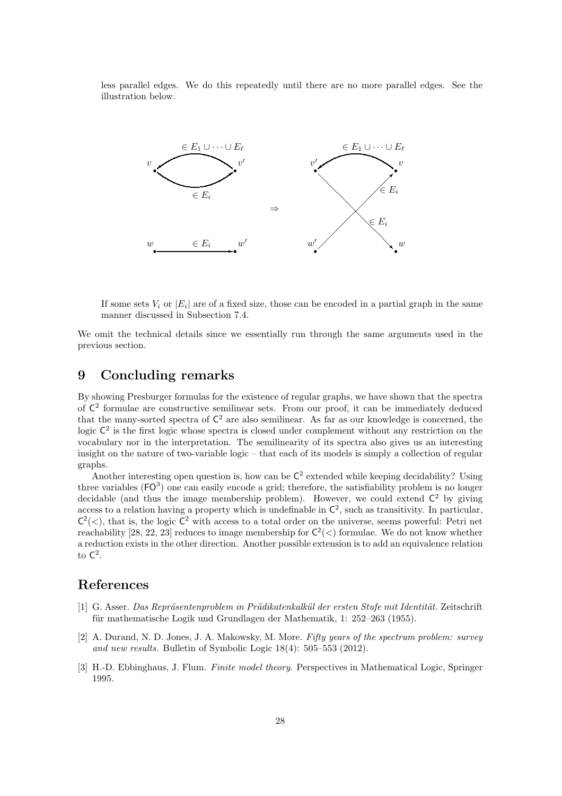less parallel edges. We do this repeatedly until there are no more parallel edges. See the illustration below.



If some sets  $V_i$  or  $|E_i|$  are of a fixed size, those can be encoded in a partial graph in the same manner discussed in Subsection 7.4.

We omit the technical details since we essentially run through the same arguments used in the previous section.

### 9 Concluding remarks

By showing Presburger formulas for the existence of regular graphs, we have shown that the spectra of  $\mathsf{C}^2$  formulae are constructive semilinear sets. From our proof, it can be immediately deduced that the many-sorted spectra of  $\mathsf{C}^2$  are also semilinear. As far as our knowledge is concerned, the logic  $C^2$  is the first logic whose spectra is closed under complement without any restriction on the vocabulary nor in the interpretation. The semilinearity of its spectra also gives us an interesting insight on the nature of two-variable logic – that each of its models is simply a collection of regular graphs.

Another interesting open question is, how can be  $\mathsf{C}^2$  extended while keeping decidability? Using three variables  $(FO^3)$  one can easily encode a grid; therefore, the satisfiability problem is no longer decidable (and thus the image membership problem). However, we could extend  $\mathsf{C}^2$  by giving access to a relation having a property which is undefinable in  $\mathsf{C}^2$ , such as transitivity. In particular,  $C<sup>2</sup>(<)$ , that is, the logic  $C<sup>2</sup>$  with access to a total order on the universe, seems powerful: Petri net reachability [28, 22, 23] reduces to image membership for  $C^2(\langle)$  formulae. We do not know whether a reduction exists in the other direction. Another possible extension is to add an equivalence relation to  $\mathsf{C}^2$ .

### References

- [1] G. Asser. *Das Repr¨asentenproblem in Pr¨adikatenkalk¨ul der ersten Stufe mit Identit¨at.* Zeitschrift für mathematische Logik und Grundlagen der Mathematik, 1:  $252-263$  (1955).
- [2] A. Durand, N. D. Jones, J. A. Makowsky, M. More. *Fifty years of the spectrum problem: survey and new results.* Bulletin of Symbolic Logic 18(4): 505–553 (2012).
- [3] H.-D. Ebbinghaus, J. Flum. *Finite model theory*. Perspectives in Mathematical Logic, Springer 1995.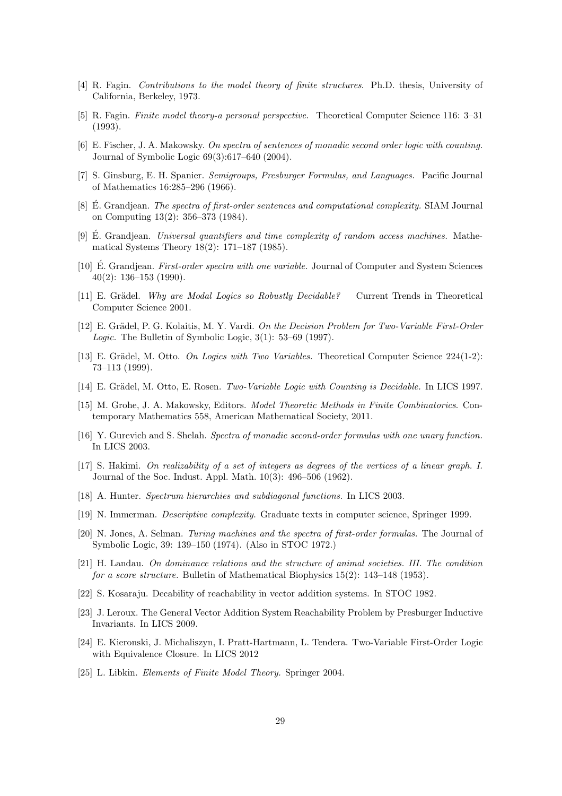- [4] R. Fagin. *Contributions to the model theory of finite structures*. Ph.D. thesis, University of California, Berkeley, 1973.
- [5] R. Fagin. *Finite model theory-a personal perspective.* Theoretical Computer Science 116: 3–31 (1993).
- [6] E. Fischer, J. A. Makowsky. *On spectra of sentences of monadic second order logic with counting.* Journal of Symbolic Logic 69(3):617–640 (2004).
- [7] S. Ginsburg, E. H. Spanier. *Semigroups, Presburger Formulas, and Languages.* Pacific Journal of Mathematics 16:285–296 (1966).
- [8] E. Grandjean. *The spectra of first-order sentences and computational complexity*. SIAM Journal on Computing 13(2): 356–373 (1984).
- [9] E. Grandjean. *Universal quantifiers and time complexity of random access machines.* Mathematical Systems Theory 18(2): 171–187 (1985).
- [10] E. Grandjean. *First-order spectra with one variable*. Journal of Computer and System Sciences 40(2): 136–153 (1990).
- [11] E. Grädel. *Why are Modal Logics so Robustly Decidable?* Current Trends in Theoretical Computer Science 2001.
- [12] E. Grädel, P. G. Kolaitis, M. Y. Vardi. *On the Decision Problem for Two-Variable First-Order Logic.* The Bulletin of Symbolic Logic, 3(1): 53–69 (1997).
- [13] E. Grädel, M. Otto. *On Logics with Two Variables*. Theoretical Computer Science 224(1-2): 73–113 (1999).
- [14] E. Grädel, M. Otto, E. Rosen. *Two-Variable Logic with Counting is Decidable*. In LICS 1997.
- [15] M. Grohe, J. A. Makowsky, Editors. *Model Theoretic Methods in Finite Combinatorics*. Contemporary Mathematics 558, American Mathematical Society, 2011.
- [16] Y. Gurevich and S. Shelah. *Spectra of monadic second-order formulas with one unary function.* In LICS 2003.
- [17] S. Hakimi. *On realizability of a set of integers as degrees of the vertices of a linear graph. I.* Journal of the Soc. Indust. Appl. Math. 10(3): 496–506 (1962).
- [18] A. Hunter. *Spectrum hierarchies and subdiagonal functions.* In LICS 2003.
- [19] N. Immerman. *Descriptive complexity*. Graduate texts in computer science, Springer 1999.
- [20] N. Jones, A. Selman. *Turing machines and the spectra of first-order formulas.* The Journal of Symbolic Logic, 39: 139–150 (1974). (Also in STOC 1972.)
- [21] H. Landau. *On dominance relations and the structure of animal societies. III. The condition for a score structure.* Bulletin of Mathematical Biophysics 15(2): 143–148 (1953).
- [22] S. Kosaraju. Decability of reachability in vector addition systems. In STOC 1982.
- [23] J. Leroux. The General Vector Addition System Reachability Problem by Presburger Inductive Invariants. In LICS 2009.
- [24] E. Kieronski, J. Michaliszyn, I. Pratt-Hartmann, L. Tendera. Two-Variable First-Order Logic with Equivalence Closure. In LICS 2012
- [25] L. Libkin. *Elements of Finite Model Theory.* Springer 2004.